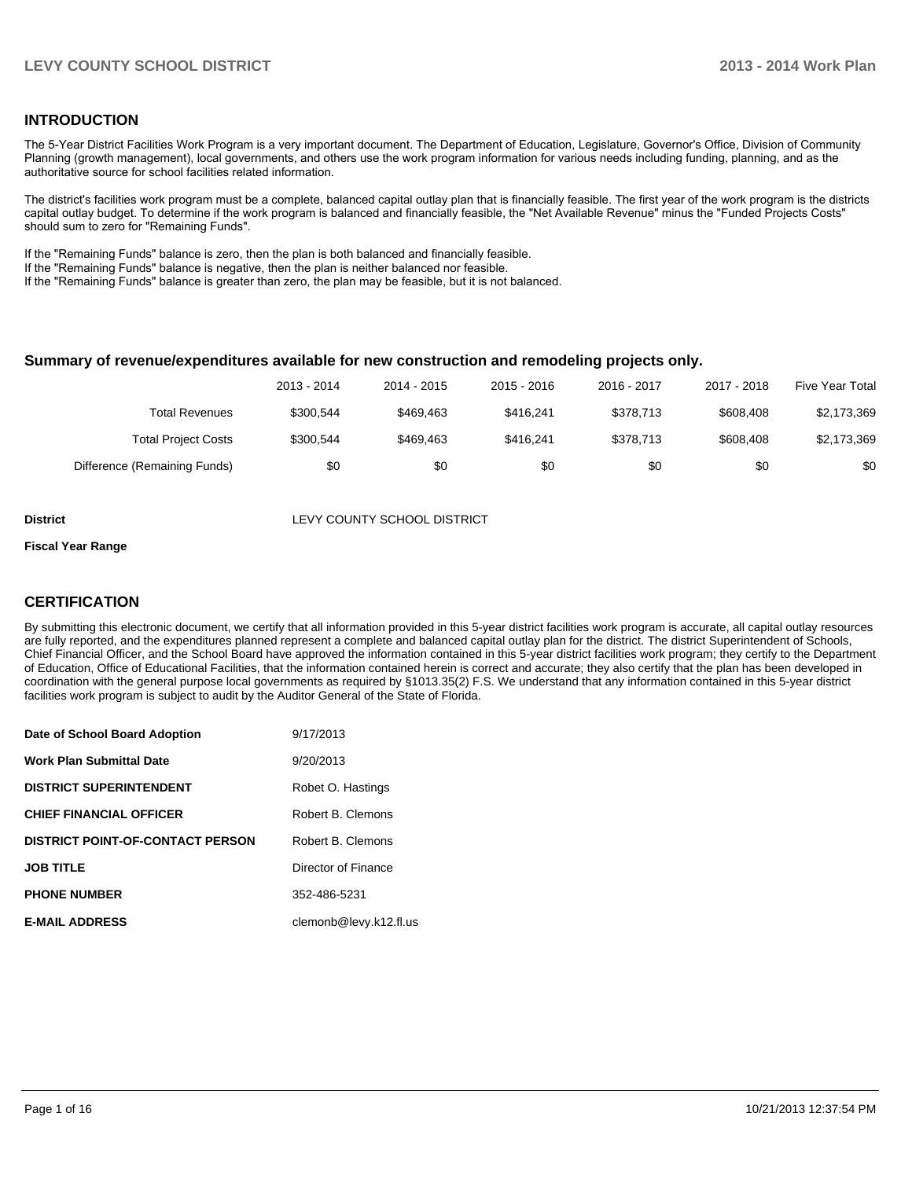#### **INTRODUCTION**

The 5-Year District Facilities Work Program is a very important document. The Department of Education, Legislature, Governor's Office, Division of Community Planning (growth management), local governments, and others use the work program information for various needs including funding, planning, and as the authoritative source for school facilities related information.

The district's facilities work program must be a complete, balanced capital outlay plan that is financially feasible. The first year of the work program is the districts capital outlay budget. To determine if the work program is balanced and financially feasible, the "Net Available Revenue" minus the "Funded Projects Costs" should sum to zero for "Remaining Funds".

If the "Remaining Funds" balance is zero, then the plan is both balanced and financially feasible.

If the "Remaining Funds" balance is negative, then the plan is neither balanced nor feasible.

If the "Remaining Funds" balance is greater than zero, the plan may be feasible, but it is not balanced.

#### **Summary of revenue/expenditures available for new construction and remodeling projects only.**

|                              | 2013 - 2014 | 2014 - 2015 | 2015 - 2016 | 2016 - 2017 | 2017 - 2018 | <b>Five Year Total</b> |
|------------------------------|-------------|-------------|-------------|-------------|-------------|------------------------|
| Total Revenues               | \$300.544   | \$469.463   | \$416.241   | \$378.713   | \$608,408   | \$2,173,369            |
| <b>Total Project Costs</b>   | \$300.544   | \$469.463   | \$416.241   | \$378.713   | \$608,408   | \$2,173,369            |
| Difference (Remaining Funds) | \$0         | \$0         | \$0         | \$0         | \$0         | \$0                    |

**District District LEVY COUNTY SCHOOL DISTRICT** 

#### **Fiscal Year Range**

#### **CERTIFICATION**

By submitting this electronic document, we certify that all information provided in this 5-year district facilities work program is accurate, all capital outlay resources are fully reported, and the expenditures planned represent a complete and balanced capital outlay plan for the district. The district Superintendent of Schools, Chief Financial Officer, and the School Board have approved the information contained in this 5-year district facilities work program; they certify to the Department of Education, Office of Educational Facilities, that the information contained herein is correct and accurate; they also certify that the plan has been developed in coordination with the general purpose local governments as required by §1013.35(2) F.S. We understand that any information contained in this 5-year district facilities work program is subject to audit by the Auditor General of the State of Florida.

| Date of School Board Adoption           | 9/17/2013              |
|-----------------------------------------|------------------------|
| <b>Work Plan Submittal Date</b>         | 9/20/2013              |
| <b>DISTRICT SUPERINTENDENT</b>          | Robet O. Hastings      |
| <b>CHIEF FINANCIAL OFFICER</b>          | Robert B. Clemons      |
| <b>DISTRICT POINT-OF-CONTACT PERSON</b> | Robert B. Clemons      |
| <b>JOB TITLE</b>                        | Director of Finance    |
| <b>PHONE NUMBER</b>                     | 352-486-5231           |
| <b>E-MAIL ADDRESS</b>                   | clemonb@levy.k12.fl.us |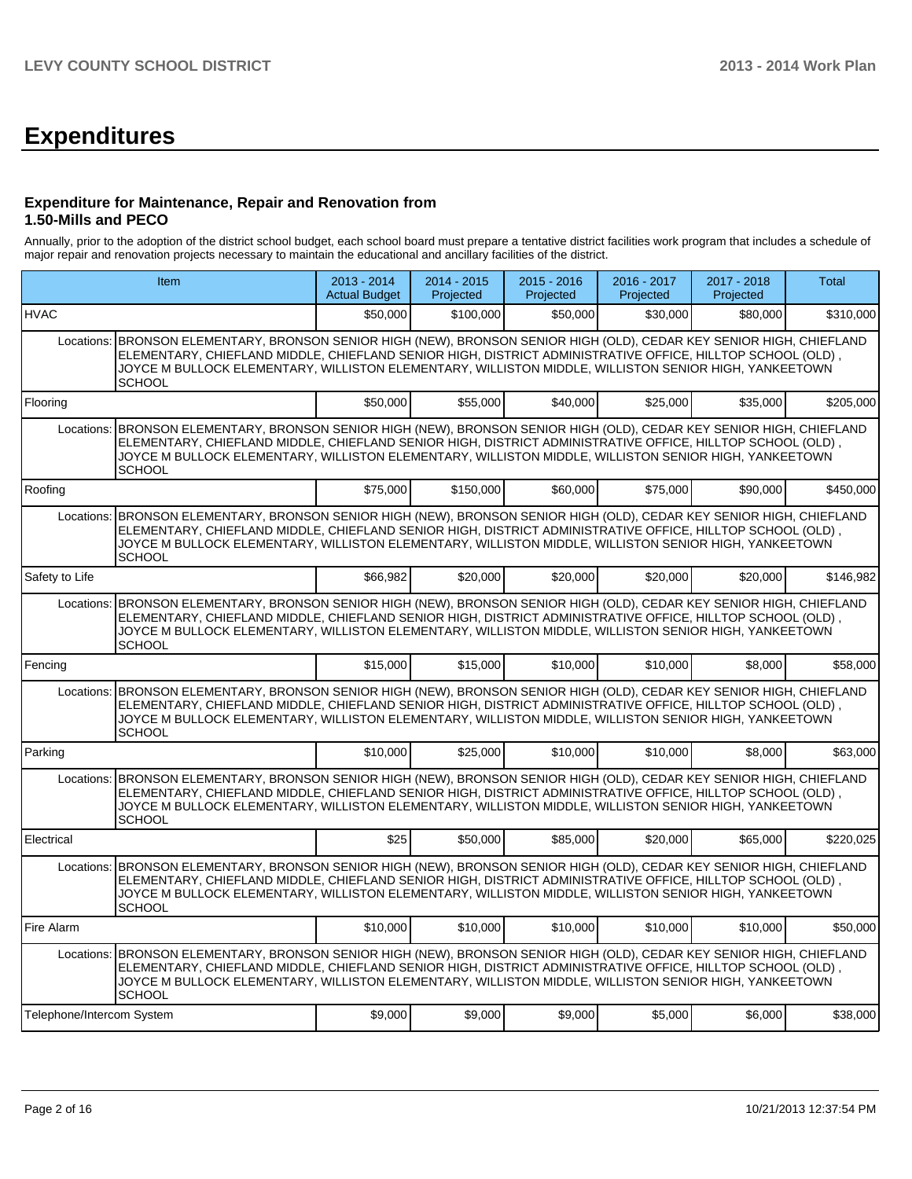# **Expenditures**

#### **Expenditure for Maintenance, Repair and Renovation from 1.50-Mills and PECO**

Annually, prior to the adoption of the district school budget, each school board must prepare a tentative district facilities work program that includes a schedule of major repair and renovation projects necessary to maintain the educational and ancillary facilities of the district.

| Item                      |                                                                                                                                                                                                                                                                                                                                                                  | 2013 - 2014<br><b>Actual Budget</b> | 2014 - 2015<br>Projected | $2015 - 2016$<br>Projected | 2016 - 2017<br>Projected | 2017 - 2018<br>Projected | Total     |  |  |  |  |  |
|---------------------------|------------------------------------------------------------------------------------------------------------------------------------------------------------------------------------------------------------------------------------------------------------------------------------------------------------------------------------------------------------------|-------------------------------------|--------------------------|----------------------------|--------------------------|--------------------------|-----------|--|--|--|--|--|
| <b>HVAC</b>               |                                                                                                                                                                                                                                                                                                                                                                  | \$50,000                            | \$100,000                | \$50,000                   | \$30,000                 | \$80,000                 | \$310.000 |  |  |  |  |  |
|                           | Locations: BRONSON ELEMENTARY, BRONSON SENIOR HIGH (NEW), BRONSON SENIOR HIGH (OLD), CEDAR KEY SENIOR HIGH, CHIEFLAND<br>ELEMENTARY, CHIEFLAND MIDDLE, CHIEFLAND SENIOR HIGH, DISTRICT ADMINISTRATIVE OFFICE, HILLTOP SCHOOL (OLD),<br>JOYCE M BULLOCK ELEMENTARY, WILLISTON ELEMENTARY, WILLISTON MIDDLE, WILLISTON SENIOR HIGH, YANKEETOWN<br><b>SCHOOL</b>    |                                     |                          |                            |                          |                          |           |  |  |  |  |  |
| Flooring                  |                                                                                                                                                                                                                                                                                                                                                                  | \$50,000                            | \$55,000                 | \$40,000                   | \$25,000                 | \$35,000                 | \$205,000 |  |  |  |  |  |
|                           | BRONSON ELEMENTARY, BRONSON SENIOR HIGH (NEW), BRONSON SENIOR HIGH (OLD), CEDAR KEY SENIOR HIGH, CHIEFLAND<br>Locations:<br>ELEMENTARY, CHIEFLAND MIDDLE, CHIEFLAND SENIOR HIGH, DISTRICT ADMINISTRATIVE OFFICE, HILLTOP SCHOOL (OLD),<br>JOYCE M BULLOCK ELEMENTARY, WILLISTON ELEMENTARY, WILLISTON MIDDLE, WILLISTON SENIOR HIGH, YANKEETOWN<br><b>SCHOOL</b> |                                     |                          |                            |                          |                          |           |  |  |  |  |  |
| Roofing                   |                                                                                                                                                                                                                                                                                                                                                                  | \$75,000                            | \$150,000                | \$60,000                   | \$75,000                 | \$90,000                 | \$450,000 |  |  |  |  |  |
|                           | Locations: BRONSON ELEMENTARY, BRONSON SENIOR HIGH (NEW), BRONSON SENIOR HIGH (OLD), CEDAR KEY SENIOR HIGH, CHIEFLAND<br>ELEMENTARY. CHIEFLAND MIDDLE. CHIEFLAND SENIOR HIGH. DISTRICT ADMINISTRATIVE OFFICE. HILLTOP SCHOOL (OLD).<br>JOYCE M BULLOCK ELEMENTARY, WILLISTON ELEMENTARY, WILLISTON MIDDLE, WILLISTON SENIOR HIGH, YANKEETOWN<br>SCHOOL           |                                     |                          |                            |                          |                          |           |  |  |  |  |  |
| Safety to Life            |                                                                                                                                                                                                                                                                                                                                                                  | \$66,982                            | \$20,000                 | \$20,000                   | \$20,000                 | \$20,000                 | \$146,982 |  |  |  |  |  |
| Locations:                | BRONSON ELEMENTARY, BRONSON SENIOR HIGH (NEW), BRONSON SENIOR HIGH (OLD), CEDAR KEY SENIOR HIGH, CHIEFLAND<br>ELEMENTARY, CHIEFLAND MIDDLE, CHIEFLAND SENIOR HIGH, DISTRICT ADMINISTRATIVE OFFICE, HILLTOP SCHOOL (OLD),<br>JOYCE M BULLOCK ELEMENTARY, WILLISTON ELEMENTARY, WILLISTON MIDDLE, WILLISTON SENIOR HIGH, YANKEETOWN<br><b>SCHOOL</b>               |                                     |                          |                            |                          |                          |           |  |  |  |  |  |
| Fencing                   |                                                                                                                                                                                                                                                                                                                                                                  | \$15,000                            | \$15,000                 | \$10,000                   | \$10,000                 | \$8,000                  | \$58,000  |  |  |  |  |  |
|                           | Locations: BRONSON ELEMENTARY, BRONSON SENIOR HIGH (NEW), BRONSON SENIOR HIGH (OLD), CEDAR KEY SENIOR HIGH, CHIEFLAND<br>ELEMENTARY, CHIEFLAND MIDDLE, CHIEFLAND SENIOR HIGH, DISTRICT ADMINISTRATIVE OFFICE, HILLTOP SCHOOL (OLD),<br>JOYCE M BULLOCK ELEMENTARY, WILLISTON ELEMENTARY, WILLISTON MIDDLE, WILLISTON SENIOR HIGH, YANKEETOWN<br><b>SCHOOL</b>    |                                     |                          |                            |                          |                          |           |  |  |  |  |  |
| Parking                   |                                                                                                                                                                                                                                                                                                                                                                  | \$10,000                            | \$25,000                 | \$10,000                   | \$10,000                 | \$8,000                  | \$63,000  |  |  |  |  |  |
|                           | Locations: BRONSON ELEMENTARY, BRONSON SENIOR HIGH (NEW), BRONSON SENIOR HIGH (OLD), CEDAR KEY SENIOR HIGH, CHIEFLAND<br>ELEMENTARY, CHIEFLAND MIDDLE, CHIEFLAND SENIOR HIGH, DISTRICT ADMINISTRATIVE OFFICE, HILLTOP SCHOOL (OLD),<br>JOYCE M BULLOCK ELEMENTARY, WILLISTON ELEMENTARY, WILLISTON MIDDLE, WILLISTON SENIOR HIGH, YANKEETOWN<br><b>SCHOOL</b>    |                                     |                          |                            |                          |                          |           |  |  |  |  |  |
| Electrical                |                                                                                                                                                                                                                                                                                                                                                                  | \$25                                | \$50,000                 | \$85,000                   | \$20,000                 | \$65,000                 | \$220,025 |  |  |  |  |  |
| Locations:                | BRONSON ELEMENTARY, BRONSON SENIOR HIGH (NEW), BRONSON SENIOR HIGH (OLD), CEDAR KEY SENIOR HIGH, CHIEFLAND<br>ELEMENTARY, CHIEFLAND MIDDLE, CHIEFLAND SENIOR HIGH, DISTRICT ADMINISTRATIVE OFFICE, HILLTOP SCHOOL (OLD),<br>JOYCE M BULLOCK ELEMENTARY, WILLISTON ELEMENTARY, WILLISTON MIDDLE, WILLISTON SENIOR HIGH, YANKEETOWN<br><b>SCHOOL</b>               |                                     |                          |                            |                          |                          |           |  |  |  |  |  |
| Fire Alarm                |                                                                                                                                                                                                                                                                                                                                                                  | \$10,000                            | \$10,000                 | \$10,000                   | \$10.000                 | \$10,000                 | \$50,000  |  |  |  |  |  |
|                           | Locations: BRONSON ELEMENTARY, BRONSON SENIOR HIGH (NEW), BRONSON SENIOR HIGH (OLD), CEDAR KEY SENIOR HIGH, CHIEFLAND<br>ELEMENTARY, CHIEFLAND MIDDLE, CHIEFLAND SENIOR HIGH, DISTRICT ADMINISTRATIVE OFFICE, HILLTOP SCHOOL (OLD),<br>JOYCE M BULLOCK ELEMENTARY, WILLISTON ELEMENTARY, WILLISTON MIDDLE, WILLISTON SENIOR HIGH, YANKEETOWN<br><b>SCHOOL</b>    |                                     |                          |                            |                          |                          |           |  |  |  |  |  |
| Telephone/Intercom System |                                                                                                                                                                                                                                                                                                                                                                  | \$9,000                             | \$9,000                  | \$9,000                    | \$5,000                  | \$6,000                  | \$38,000  |  |  |  |  |  |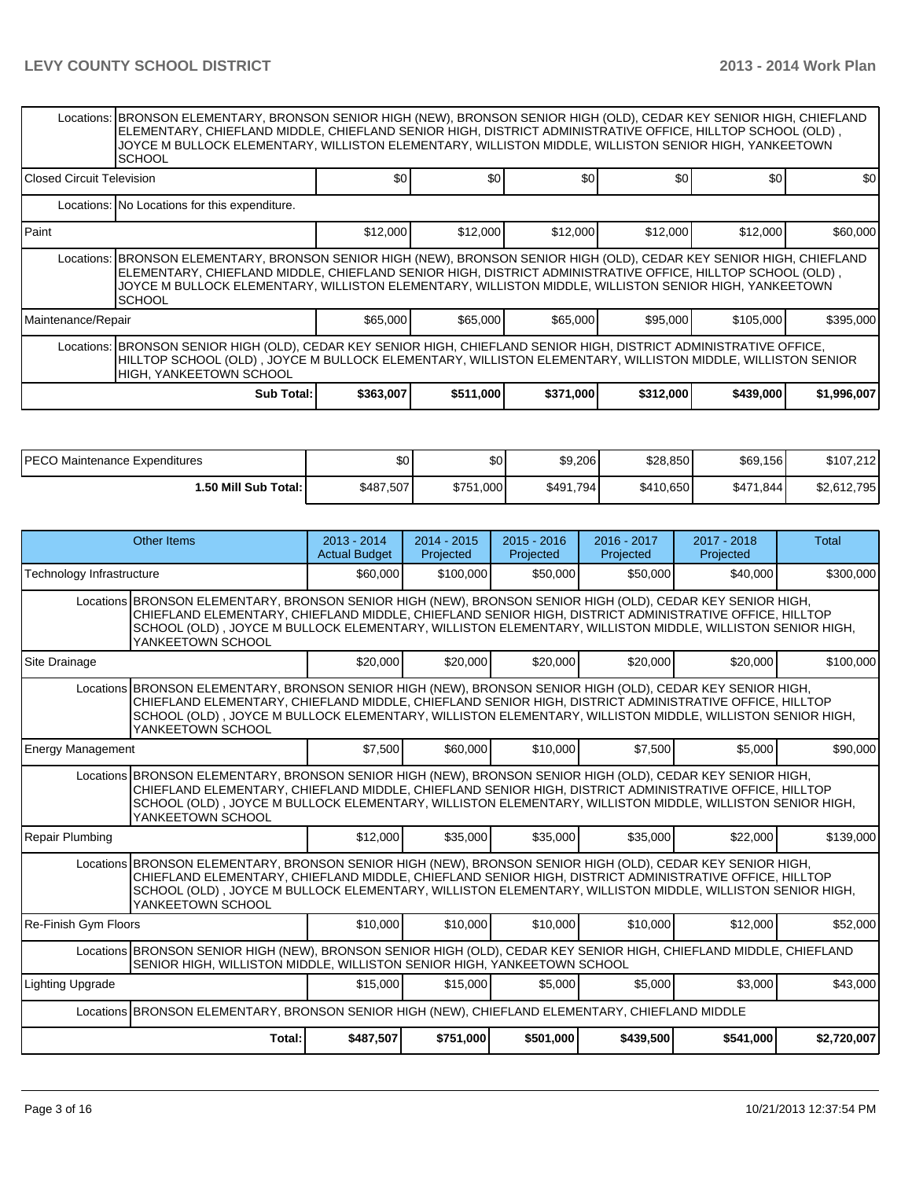|                                                                                                                                                                                                                                                               | Locations:  BRONSON ELEMENTARY, BRONSON SENIOR HIGH (NEW), BRONSON SENIOR HIGH (OLD), CEDAR KEY SENIOR HIGH, CHIEFLAND<br>ELEMENTARY, CHIEFLAND MIDDLE, CHIEFLAND SENIOR HIGH, DISTRICT ADMINISTRATIVE OFFICE, HILLTOP SCHOOL (OLD),<br>JOYCE M BULLOCK ELEMENTARY, WILLISTON ELEMENTARY, WILLISTON MIDDLE, WILLISTON SENIOR HIGH, YANKEETOWN<br><b>SCHOOL</b> |           |           |           |           |           |             |  |  |  |  |
|---------------------------------------------------------------------------------------------------------------------------------------------------------------------------------------------------------------------------------------------------------------|----------------------------------------------------------------------------------------------------------------------------------------------------------------------------------------------------------------------------------------------------------------------------------------------------------------------------------------------------------------|-----------|-----------|-----------|-----------|-----------|-------------|--|--|--|--|
| <b>IClosed Circuit Television</b>                                                                                                                                                                                                                             |                                                                                                                                                                                                                                                                                                                                                                | \$0       | \$0       | \$0       | \$0       | \$0       | \$0         |  |  |  |  |
|                                                                                                                                                                                                                                                               | Locations: No Locations for this expenditure.                                                                                                                                                                                                                                                                                                                  |           |           |           |           |           |             |  |  |  |  |
| l Paint                                                                                                                                                                                                                                                       |                                                                                                                                                                                                                                                                                                                                                                | \$12,000  | \$12,000  | \$12,000  | \$12,000  | \$12,000  | \$60,000    |  |  |  |  |
|                                                                                                                                                                                                                                                               | Locations: BRONSON ELEMENTARY, BRONSON SENIOR HIGH (NEW), BRONSON SENIOR HIGH (OLD), CEDAR KEY SENIOR HIGH, CHIEFLAND<br>ELEMENTARY, CHIEFLAND MIDDLE, CHIEFLAND SENIOR HIGH, DISTRICT ADMINISTRATIVE OFFICE, HILLTOP SCHOOL (OLD),<br>JOYCE M BULLOCK ELEMENTARY, WILLISTON ELEMENTARY, WILLISTON MIDDLE, WILLISTON SENIOR HIGH, YANKEETOWN<br><b>SCHOOL</b>  |           |           |           |           |           |             |  |  |  |  |
| Maintenance/Repair                                                                                                                                                                                                                                            |                                                                                                                                                                                                                                                                                                                                                                | \$65,000  | \$65,000  | \$65,000  | \$95,000  | \$105,000 | \$395,000   |  |  |  |  |
| Locations: BRONSON SENIOR HIGH (OLD), CEDAR KEY SENIOR HIGH, CHIEFLAND SENIOR HIGH, DISTRICT ADMINISTRATIVE OFFICE,<br>HILLTOP SCHOOL (OLD) , JOYCE M BULLOCK ELEMENTARY, WILLISTON ELEMENTARY, WILLISTON MIDDLE, WILLISTON SENIOR<br>HIGH, YANKEETOWN SCHOOL |                                                                                                                                                                                                                                                                                                                                                                |           |           |           |           |           |             |  |  |  |  |
|                                                                                                                                                                                                                                                               | <b>Sub Total:</b>                                                                                                                                                                                                                                                                                                                                              | \$363,007 | \$511,000 | \$371,000 | \$312,000 | \$439,000 | \$1,996,007 |  |  |  |  |

| <b>IPECO</b><br>) Maintenance Expenditures | \$0 <sub>0</sub> | \$0 <sub>1</sub> | \$9,206   | \$28,850  | \$69,156  | \$107,212   |
|--------------------------------------------|------------------|------------------|-----------|-----------|-----------|-------------|
| <b>1.50 Mill Sub Total: I</b>              | \$487,507        | \$751.000        | \$491,794 | \$410.650 | \$471.844 | \$2,612,795 |

|                                                                                                                                                                                                                                                                                                                                                       | <b>Other Items</b>                                                                                                                                                                                                                                                                                                                                    | $2013 - 2014$<br><b>Actual Budget</b> | $2014 - 2015$<br>Projected | $2015 - 2016$<br>Projected | 2016 - 2017<br>Projected | 2017 - 2018<br>Projected | <b>Total</b> |  |  |  |
|-------------------------------------------------------------------------------------------------------------------------------------------------------------------------------------------------------------------------------------------------------------------------------------------------------------------------------------------------------|-------------------------------------------------------------------------------------------------------------------------------------------------------------------------------------------------------------------------------------------------------------------------------------------------------------------------------------------------------|---------------------------------------|----------------------------|----------------------------|--------------------------|--------------------------|--------------|--|--|--|
| Technology Infrastructure                                                                                                                                                                                                                                                                                                                             |                                                                                                                                                                                                                                                                                                                                                       | \$60,000                              | \$100,000                  | \$50,000                   | \$50,000                 | \$40,000                 | \$300,000    |  |  |  |
|                                                                                                                                                                                                                                                                                                                                                       | Locations BRONSON ELEMENTARY, BRONSON SENIOR HIGH (NEW), BRONSON SENIOR HIGH (OLD), CEDAR KEY SENIOR HIGH,<br>CHIEFLAND ELEMENTARY, CHIEFLAND MIDDLE, CHIEFLAND SENIOR HIGH, DISTRICT ADMINISTRATIVE OFFICE, HILLTOP<br>SCHOOL (OLD), JOYCE M BULLOCK ELEMENTARY, WILLISTON ELEMENTARY, WILLISTON MIDDLE, WILLISTON SENIOR HIGH,<br>YANKEETOWN SCHOOL |                                       |                            |                            |                          |                          |              |  |  |  |
| Site Drainage                                                                                                                                                                                                                                                                                                                                         |                                                                                                                                                                                                                                                                                                                                                       | \$20,000                              | \$20,000                   | \$20,000                   | \$20,000                 | \$20,000                 | \$100,000    |  |  |  |
|                                                                                                                                                                                                                                                                                                                                                       | Locations BRONSON ELEMENTARY, BRONSON SENIOR HIGH (NEW), BRONSON SENIOR HIGH (OLD), CEDAR KEY SENIOR HIGH,<br>CHIEFLAND ELEMENTARY, CHIEFLAND MIDDLE, CHIEFLAND SENIOR HIGH, DISTRICT ADMINISTRATIVE OFFICE, HILLTOP<br>SCHOOL (OLD), JOYCE M BULLOCK ELEMENTARY, WILLISTON ELEMENTARY, WILLISTON MIDDLE, WILLISTON SENIOR HIGH,<br>YANKEETOWN SCHOOL |                                       |                            |                            |                          |                          |              |  |  |  |
| <b>Energy Management</b>                                                                                                                                                                                                                                                                                                                              |                                                                                                                                                                                                                                                                                                                                                       | \$7,500                               | \$60,000                   | \$10,000                   | \$7,500                  | \$5,000                  | \$90,000     |  |  |  |
| Locations BRONSON ELEMENTARY, BRONSON SENIOR HIGH (NEW), BRONSON SENIOR HIGH (OLD), CEDAR KEY SENIOR HIGH,<br>CHIEFLAND ELEMENTARY, CHIEFLAND MIDDLE, CHIEFLAND SENIOR HIGH, DISTRICT ADMINISTRATIVE OFFICE, HILLTOP<br>SCHOOL (OLD), JOYCE M BULLOCK ELEMENTARY, WILLISTON ELEMENTARY, WILLISTON MIDDLE, WILLISTON SENIOR HIGH,<br>YANKEETOWN SCHOOL |                                                                                                                                                                                                                                                                                                                                                       |                                       |                            |                            |                          |                          |              |  |  |  |
| <b>Repair Plumbing</b>                                                                                                                                                                                                                                                                                                                                |                                                                                                                                                                                                                                                                                                                                                       | \$12,000                              | \$35,000                   | \$35,000                   | \$35,000                 | \$22,000                 | \$139,000    |  |  |  |
| Locations BRONSON ELEMENTARY, BRONSON SENIOR HIGH (NEW), BRONSON SENIOR HIGH (OLD), CEDAR KEY SENIOR HIGH,<br>CHIEFLAND ELEMENTARY, CHIEFLAND MIDDLE, CHIEFLAND SENIOR HIGH, DISTRICT ADMINISTRATIVE OFFICE, HILLTOP<br>SCHOOL (OLD), JOYCE M BULLOCK ELEMENTARY, WILLISTON ELEMENTARY, WILLISTON MIDDLE, WILLISTON SENIOR HIGH,<br>YANKEETOWN SCHOOL |                                                                                                                                                                                                                                                                                                                                                       |                                       |                            |                            |                          |                          |              |  |  |  |
| Re-Finish Gym Floors                                                                                                                                                                                                                                                                                                                                  |                                                                                                                                                                                                                                                                                                                                                       | \$10,000                              | \$10,000                   | \$10,000                   | \$10,000                 | \$12,000                 | \$52,000     |  |  |  |
|                                                                                                                                                                                                                                                                                                                                                       | Locations BRONSON SENIOR HIGH (NEW), BRONSON SENIOR HIGH (OLD), CEDAR KEY SENIOR HIGH, CHIEFLAND MIDDLE, CHIEFLAND<br>SENIOR HIGH, WILLISTON MIDDLE, WILLISTON SENIOR HIGH, YANKEETOWN SCHOOL                                                                                                                                                         |                                       |                            |                            |                          |                          |              |  |  |  |
| <b>Lighting Upgrade</b>                                                                                                                                                                                                                                                                                                                               |                                                                                                                                                                                                                                                                                                                                                       | \$15,000                              | \$15,000                   | \$5,000                    | \$5,000                  | \$3,000                  | \$43,000     |  |  |  |
|                                                                                                                                                                                                                                                                                                                                                       | Locations   BRONSON ELEMENTARY, BRONSON SENIOR HIGH (NEW), CHIEFLAND ELEMENTARY, CHIEFLAND MIDDLE                                                                                                                                                                                                                                                     |                                       |                            |                            |                          |                          |              |  |  |  |
|                                                                                                                                                                                                                                                                                                                                                       | Total:<br>\$487,507<br>\$751,000<br>\$501,000<br>\$439,500<br>\$541,000<br>\$2,720,007                                                                                                                                                                                                                                                                |                                       |                            |                            |                          |                          |              |  |  |  |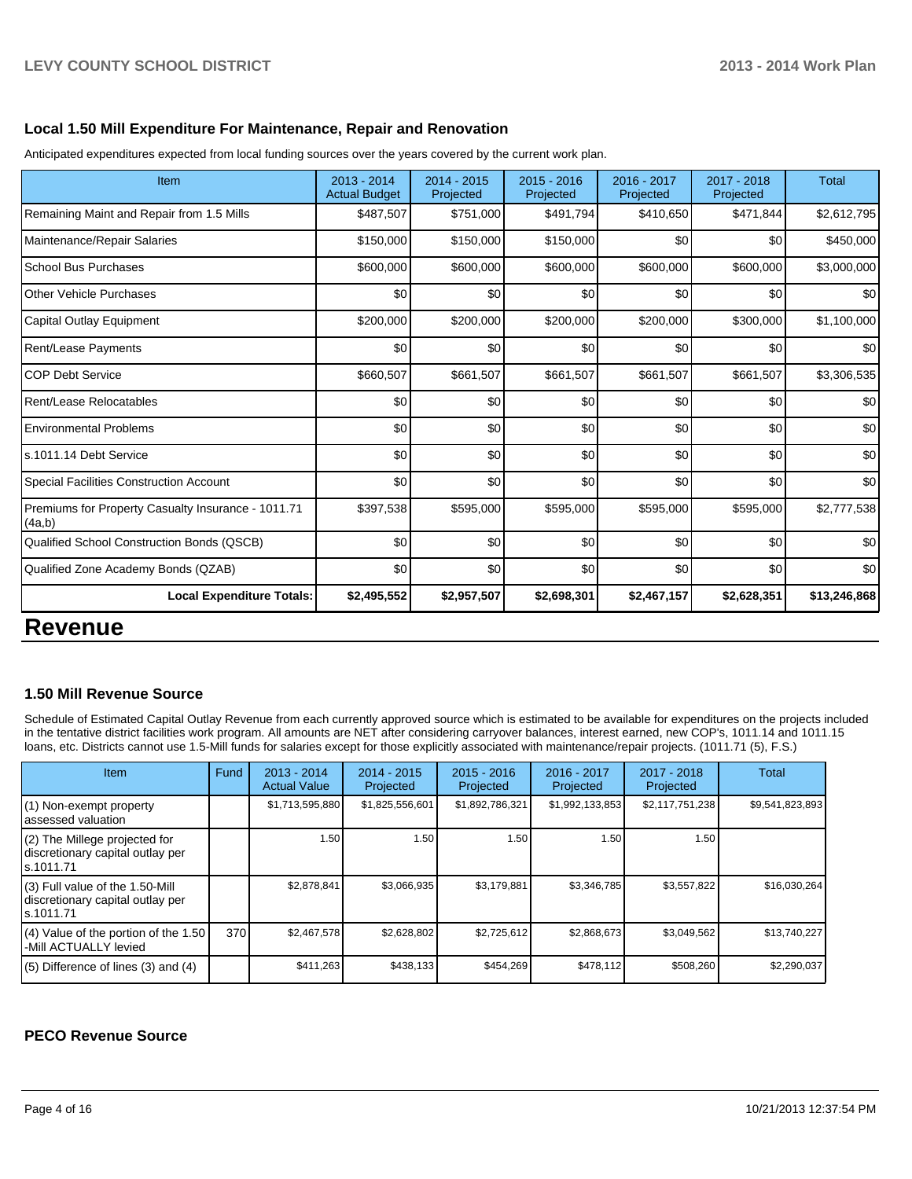#### **Local 1.50 Mill Expenditure For Maintenance, Repair and Renovation**

Anticipated expenditures expected from local funding sources over the years covered by the current work plan.

| Item                                                         | 2013 - 2014<br><b>Actual Budget</b> | 2014 - 2015<br>Projected | $2015 - 2016$<br>Projected | 2016 - 2017<br>Projected | 2017 - 2018<br>Projected | <b>Total</b> |
|--------------------------------------------------------------|-------------------------------------|--------------------------|----------------------------|--------------------------|--------------------------|--------------|
| Remaining Maint and Repair from 1.5 Mills                    | \$487,507                           | \$751,000                | \$491,794                  | \$410,650                | \$471,844                | \$2,612,795  |
| Maintenance/Repair Salaries                                  | \$150,000                           | \$150,000                | \$150,000                  | \$0                      | \$0                      | \$450,000    |
| <b>School Bus Purchases</b>                                  | \$600,000                           | \$600,000                | \$600,000                  | \$600,000                | \$600,000                | \$3,000,000  |
| Other Vehicle Purchases                                      | \$0                                 | \$0                      | \$0                        | \$0                      | \$0                      | \$0          |
| Capital Outlay Equipment                                     | \$200,000                           | \$200,000                | \$200,000                  | \$200,000                | \$300,000                | \$1,100,000  |
| <b>Rent/Lease Payments</b>                                   | \$0                                 | \$0                      | \$0                        | \$0                      | \$0                      | \$0          |
| <b>COP Debt Service</b>                                      | \$660,507                           | \$661,507                | \$661,507                  | \$661,507                | \$661,507                | \$3,306,535  |
| Rent/Lease Relocatables                                      | \$0                                 | \$0                      | \$0                        | \$0                      | \$0                      | \$0          |
| <b>Environmental Problems</b>                                | \$0                                 | \$0                      | \$0                        | \$0                      | \$0                      | \$0          |
| s.1011.14 Debt Service                                       | \$0                                 | \$0                      | \$0                        | \$0                      | \$0                      | \$0          |
| <b>Special Facilities Construction Account</b>               | \$0                                 | \$0                      | \$0                        | \$0                      | \$0                      | \$0          |
| Premiums for Property Casualty Insurance - 1011.71<br>(4a,b) | \$397,538                           | \$595,000                | \$595,000                  | \$595,000                | \$595,000                | \$2,777,538  |
| Qualified School Construction Bonds (QSCB)                   | \$0                                 | \$0                      | \$0                        | \$0                      | \$0                      | \$0          |
| Qualified Zone Academy Bonds (QZAB)                          | \$0                                 | \$0                      | \$0                        | \$0                      | \$0                      | \$0          |
| <b>Local Expenditure Totals:</b>                             | \$2,495,552                         | \$2,957,507              | \$2,698,301                | \$2,467,157              | \$2,628,351              | \$13,246,868 |

### **Revenue**

#### **1.50 Mill Revenue Source**

Schedule of Estimated Capital Outlay Revenue from each currently approved source which is estimated to be available for expenditures on the projects included in the tentative district facilities work program. All amounts are NET after considering carryover balances, interest earned, new COP's, 1011.14 and 1011.15 loans, etc. Districts cannot use 1.5-Mill funds for salaries except for those explicitly associated with maintenance/repair projects. (1011.71 (5), F.S.)

| Item                                                                                | Fund | $2013 - 2014$<br><b>Actual Value</b> | $2014 - 2015$<br>Projected | $2015 - 2016$<br>Projected | 2016 - 2017<br>Projected | 2017 - 2018<br>Projected | Total           |
|-------------------------------------------------------------------------------------|------|--------------------------------------|----------------------------|----------------------------|--------------------------|--------------------------|-----------------|
| (1) Non-exempt property<br>lassessed valuation                                      |      | \$1,713,595,880                      | \$1,825,556,601            | \$1,892,786,321            | \$1,992,133,853          | \$2,117,751,238          | \$9,541,823,893 |
| $(2)$ The Millege projected for<br>discretionary capital outlay per<br>ls.1011.71   |      | 1.50                                 | 1.50                       | 1.50                       | 1.50                     | 1.50                     |                 |
| $(3)$ Full value of the 1.50-Mill<br>discretionary capital outlay per<br>ls.1011.71 |      | \$2,878,841                          | \$3,066,935                | \$3,179,881                | \$3,346,785              | \$3,557,822              | \$16,030,264    |
| $(4)$ Value of the portion of the 1.50<br>I-Mill ACTUALLY levied                    | 370  | \$2,467,578                          | \$2,628,802                | \$2,725,612                | \$2,868,673              | \$3,049,562              | \$13,740,227    |
| $(5)$ Difference of lines $(3)$ and $(4)$                                           |      | \$411,263                            | \$438,133                  | \$454,269                  | \$478,112                | \$508,260                | \$2,290,037     |

#### **PECO Revenue Source**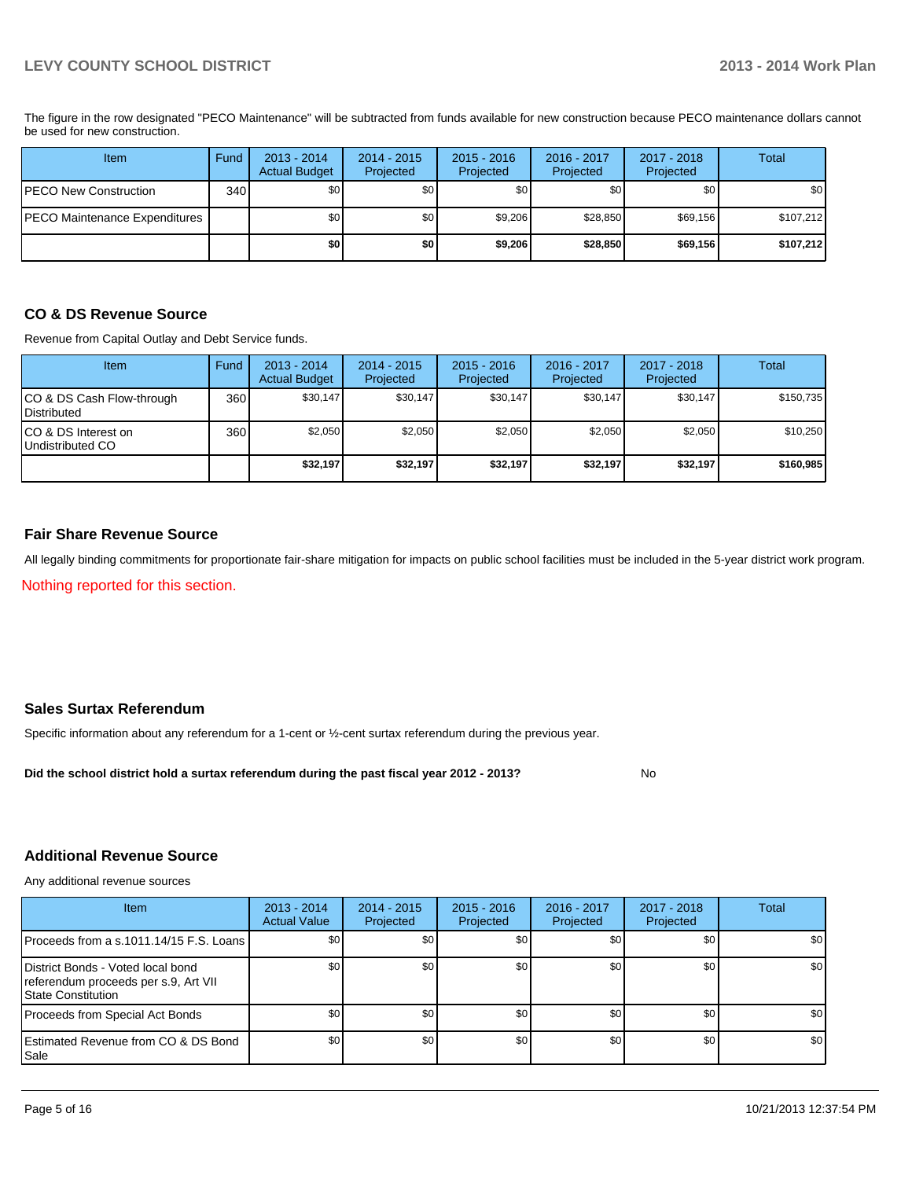PECO Maintenance Expenditures **1** \$0 \$0 \$0 \$9,206 \$28,850 \$69,156 \$107,212 PECO New Construction 340 \$0 \$0 \$0 \$0 \$0 \$0 **\$0 \$0 \$9,206 \$28,850 \$69,156 \$107,212** Item Fund 2013 - 2014 Actual Budget 2014 - 2015 Projected 2015 - 2016 Projected 2016 - 2017 Projected 2017 - 2018 Projected **Total** 

The figure in the row designated "PECO Maintenance" will be subtracted from funds available for new construction because PECO maintenance dollars cannot be used for new construction.

#### **CO & DS Revenue Source**

Revenue from Capital Outlay and Debt Service funds.

| Item                                               | Fund | 2013 - 2014<br><b>Actual Budget</b> | $2014 - 2015$<br>Projected | $2015 - 2016$<br>Projected | $2016 - 2017$<br>Projected | $2017 - 2018$<br>Projected | Total     |
|----------------------------------------------------|------|-------------------------------------|----------------------------|----------------------------|----------------------------|----------------------------|-----------|
| ICO & DS Cash Flow-through<br><b>I</b> Distributed | 360  | \$30.147                            | \$30,147                   | \$30.147                   | \$30.147                   | \$30,147                   | \$150.735 |
| ICO & DS Interest on<br>Undistributed CO           | 360  | \$2,050                             | \$2,050                    | \$2,050                    | \$2.050                    | \$2,050                    | \$10,250  |
|                                                    |      | \$32,197                            | \$32,197                   | \$32,197                   | \$32,197                   | \$32,197                   | \$160,985 |

#### **Fair Share Revenue Source**

All legally binding commitments for proportionate fair-share mitigation for impacts on public school facilities must be included in the 5-year district work program.

Nothing reported for this section.

#### **Sales Surtax Referendum**

Specific information about any referendum for a 1-cent or ½-cent surtax referendum during the previous year.

**Did the school district hold a surtax referendum during the past fiscal year 2012 - 2013?**

No

#### **Additional Revenue Source**

Any additional revenue sources

| <b>Item</b>                                                                                            | $2013 - 2014$<br><b>Actual Value</b> | $2014 - 2015$<br>Projected | $2015 - 2016$<br>Projected | $2016 - 2017$<br>Projected | 2017 - 2018<br>Projected | Total            |
|--------------------------------------------------------------------------------------------------------|--------------------------------------|----------------------------|----------------------------|----------------------------|--------------------------|------------------|
| Proceeds from a s.1011.14/15 F.S. Loans                                                                | <b>SO</b>                            | \$0 <sub>1</sub>           | \$0                        | \$0                        | \$0 <sub>1</sub>         | \$0 <sub>1</sub> |
| District Bonds - Voted local bond<br>referendum proceeds per s.9, Art VII<br><b>State Constitution</b> | \$0                                  | \$0                        | \$0                        | \$0 <sub>0</sub>           | \$0                      | \$0              |
| Proceeds from Special Act Bonds                                                                        | \$0                                  | \$0                        | \$0                        | \$0                        | \$0                      | \$0              |
| <b>IEstimated Revenue from CO &amp; DS Bond</b><br><b>I</b> Sale                                       | \$0                                  | \$0                        | \$0                        | \$0                        | \$0                      | \$0              |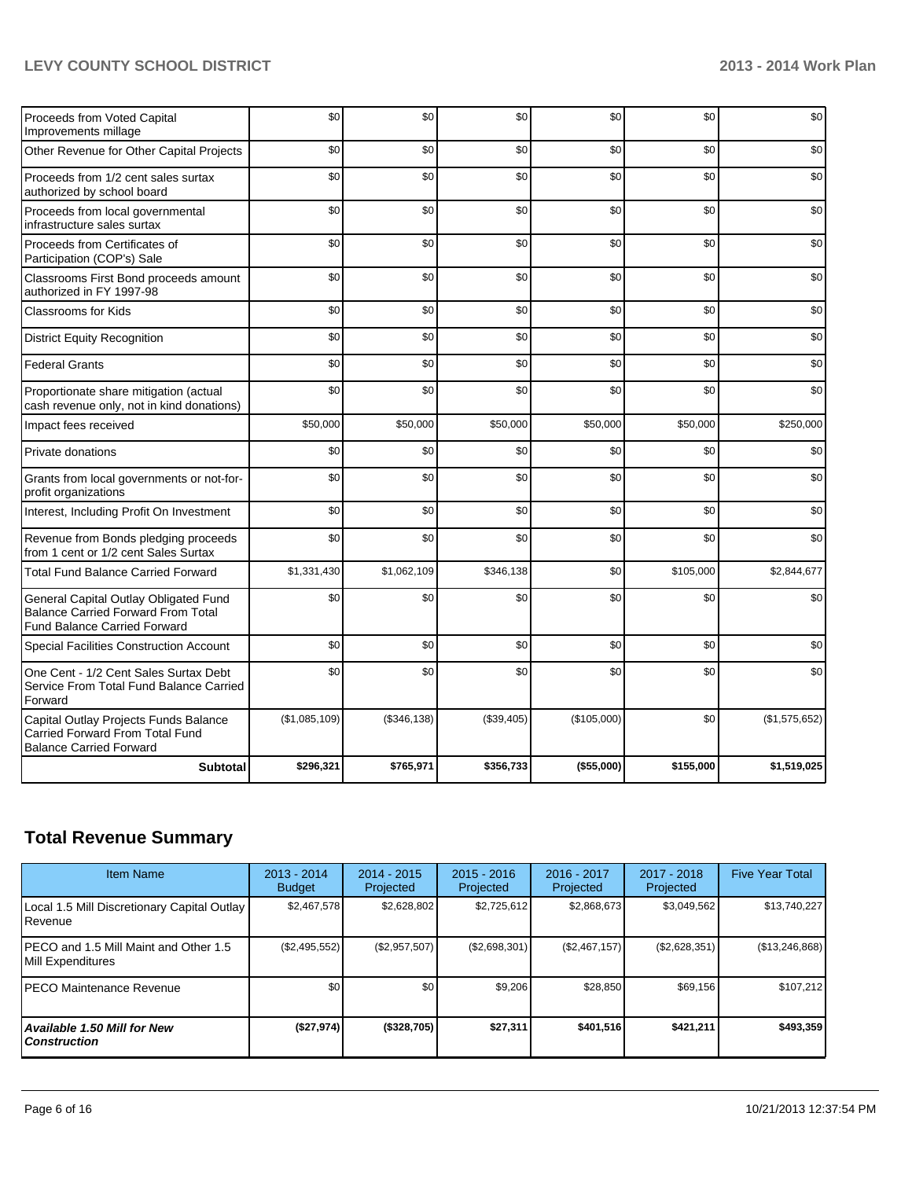#### **LEVY COUNTY SCHOOL DISTRICT 2013 - 2014 Work Plan**

| Proceeds from Voted Capital<br>Improvements millage                                                                       | \$0           | \$0          | \$0        | \$0         | \$0       | \$0           |
|---------------------------------------------------------------------------------------------------------------------------|---------------|--------------|------------|-------------|-----------|---------------|
| Other Revenue for Other Capital Projects                                                                                  | \$0           | \$0          | \$0        | \$0         | \$0       | \$0           |
| Proceeds from 1/2 cent sales surtax<br>authorized by school board                                                         | \$0           | \$0          | \$0        | \$0         | \$0       | \$0           |
| Proceeds from local governmental<br>infrastructure sales surtax                                                           | \$0           | \$0          | \$0        | \$0         | \$0       | \$0           |
| Proceeds from Certificates of<br>Participation (COP's) Sale                                                               | \$0           | \$0          | \$0        | \$0         | \$0       | \$0           |
| Classrooms First Bond proceeds amount<br>authorized in FY 1997-98                                                         | \$0           | \$0          | \$0        | \$0         | \$0       | \$0           |
| <b>Classrooms for Kids</b>                                                                                                | \$0           | \$0          | \$0        | \$0         | \$0       | \$0           |
| <b>District Equity Recognition</b>                                                                                        | \$0           | \$0          | \$0        | \$0         | \$0       | \$0           |
| <b>Federal Grants</b>                                                                                                     | \$0           | \$0          | \$0        | \$0         | \$0       | \$0           |
| Proportionate share mitigation (actual<br>cash revenue only, not in kind donations)                                       | \$0           | \$0          | \$0        | \$0         | \$0       | \$0           |
| Impact fees received                                                                                                      | \$50,000      | \$50,000     | \$50,000   | \$50,000    | \$50,000  | \$250,000     |
| Private donations                                                                                                         | \$0           | \$0          | \$0        | \$0         | \$0       | \$0           |
| Grants from local governments or not-for-<br>profit organizations                                                         | \$0           | \$0          | \$0        | \$0         | \$0       | \$0           |
| Interest, Including Profit On Investment                                                                                  | \$0           | \$0          | \$0        | \$0         | \$0       | \$0           |
| Revenue from Bonds pledging proceeds<br>from 1 cent or 1/2 cent Sales Surtax                                              | \$0           | \$0          | \$0        | \$0         | \$0       | \$0           |
| <b>Total Fund Balance Carried Forward</b>                                                                                 | \$1,331,430   | \$1,062,109  | \$346,138  | \$0         | \$105,000 | \$2,844,677   |
| General Capital Outlay Obligated Fund<br><b>Balance Carried Forward From Total</b><br><b>Fund Balance Carried Forward</b> | \$0           | \$0          | \$0        | \$0         | \$0       | \$0           |
| <b>Special Facilities Construction Account</b>                                                                            | \$0           | \$0          | \$0        | \$0         | \$0       | \$0           |
| One Cent - 1/2 Cent Sales Surtax Debt<br>Service From Total Fund Balance Carried<br>Forward                               | \$0           | \$0          | \$0        | \$0         | \$0       | \$0           |
| Capital Outlay Projects Funds Balance<br>Carried Forward From Total Fund<br><b>Balance Carried Forward</b>                | (\$1,085,109) | (\$346, 138) | (\$39,405) | (\$105,000) | \$0       | (\$1,575,652) |
| <b>Subtotal</b>                                                                                                           | \$296,321     | \$765,971    | \$356,733  | (\$55,000)  | \$155,000 | \$1,519,025   |

# **Total Revenue Summary**

| <b>Item Name</b>                                           | 2013 - 2014<br><b>Budget</b> | 2014 - 2015<br>Projected | $2015 - 2016$<br>Projected | $2016 - 2017$<br>Projected | $2017 - 2018$<br>Projected | <b>Five Year Total</b> |
|------------------------------------------------------------|------------------------------|--------------------------|----------------------------|----------------------------|----------------------------|------------------------|
| Local 1.5 Mill Discretionary Capital Outlay<br>Revenue     | \$2.467.578                  | \$2,628,802              | \$2,725,612                | \$2,868,673                | \$3,049,562                | \$13,740,227           |
| PECO and 1.5 Mill Maint and Other 1.5<br>Mill Expenditures | (\$2,495,552)                | (\$2,957,507)            | (\$2,698,301)              | $(\$2,467,157)$            | (\$2,628,351)              | (\$13,246,868)         |
| <b>PECO Maintenance Revenue</b>                            | \$0                          | \$0                      | \$9,206                    | \$28,850                   | \$69,156                   | \$107,212              |
| Available 1.50 Mill for New<br><b>Construction</b>         | (\$27,974)                   | (\$328,705)              | \$27,311                   | \$401,516                  | \$421.211                  | \$493,359              |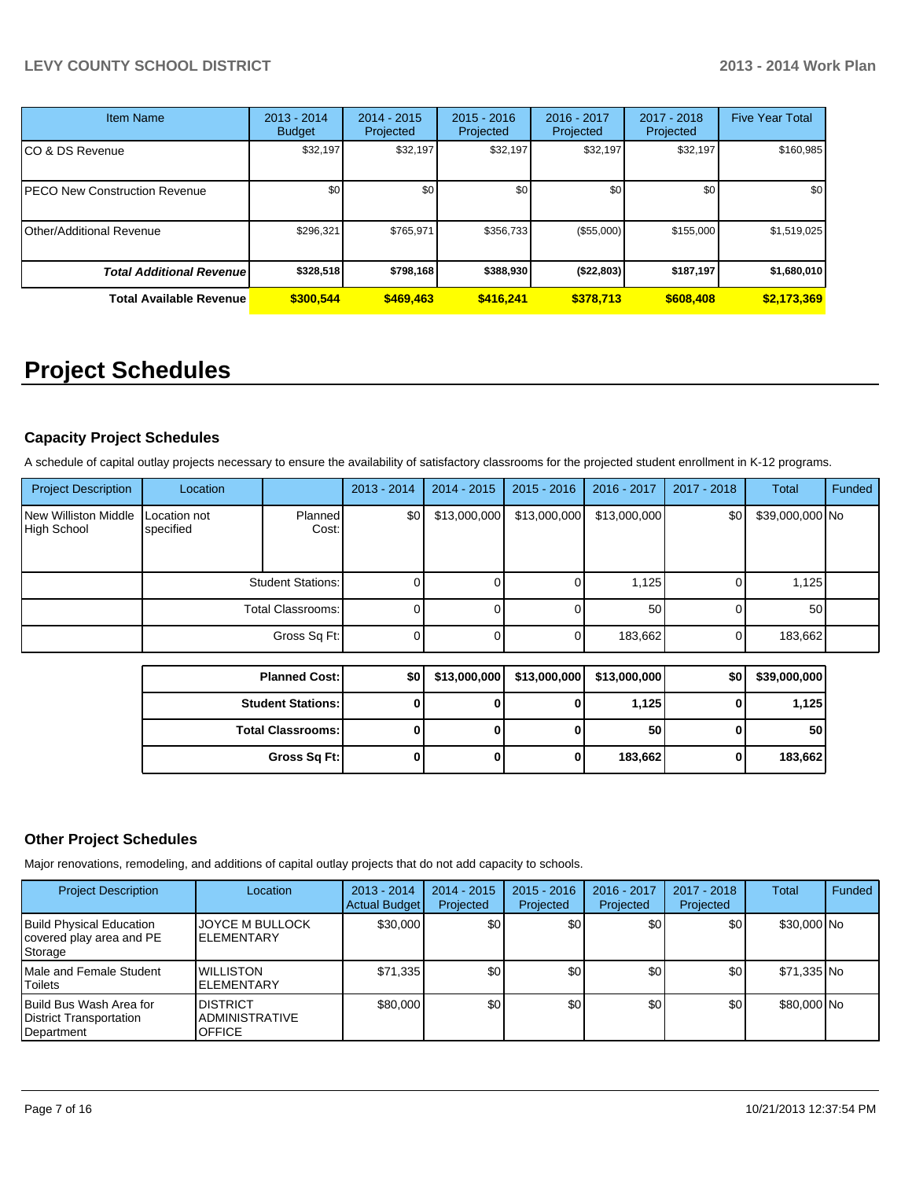| <b>Item Name</b>                 | $2013 - 2014$<br><b>Budget</b> | $2014 - 2015$<br>Projected | $2015 - 2016$<br>Projected | $2016 - 2017$<br>Projected | 2017 - 2018<br>Projected | <b>Five Year Total</b> |
|----------------------------------|--------------------------------|----------------------------|----------------------------|----------------------------|--------------------------|------------------------|
| CO & DS Revenue                  | \$32,197                       | \$32,197                   | \$32,197                   | \$32,197                   | \$32,197                 | \$160,985              |
| PECO New Construction Revenue    | \$0                            | \$0                        | \$0                        | \$0                        | \$0                      | \$0                    |
| Other/Additional Revenue         | \$296,321                      | \$765,971                  | \$356.733                  | (\$55,000)                 | \$155,000                | \$1,519,025            |
| <b>Total Additional Revenuel</b> | \$328,518                      | \$798,168                  | \$388,930                  | ( \$22, 803)               | \$187,197                | \$1,680,010            |
| <b>Total Available Revenue</b>   | \$300.544                      | \$469,463                  | \$416,241                  | \$378.713                  | \$608,408                | \$2,173,369            |

# **Project Schedules**

#### **Capacity Project Schedules**

A schedule of capital outlay projects necessary to ensure the availability of satisfactory classrooms for the projected student enrollment in K-12 programs.

| <b>Project Description</b>          | Location                  |                  | $2013 - 2014$ | $2014 - 2015$ | $2015 - 2016$ | 2016 - 2017     | 2017 - 2018 | Total           | Funded |
|-------------------------------------|---------------------------|------------------|---------------|---------------|---------------|-----------------|-------------|-----------------|--------|
| New Williston Middle<br>High School | Location not<br>specified | Planned<br>Cost: | \$0 I         | \$13,000,000  | \$13,000,000  | \$13,000,000    | \$0         | \$39,000,000 No |        |
|                                     | <b>Student Stations:</b>  |                  | υı            |               |               | 1,125           |             | 1,125           |        |
|                                     | Total Classrooms: I       |                  |               |               |               | 50 <sub>1</sub> |             | 50              |        |
|                                     |                           | Gross Sq Ft:     | υ             |               |               | 183,662         |             | 183,662         |        |

| <b>Planned Cost:</b>     | \$0 |   | $$13,000,000$ $$13,000,000$ | \$13,000,000    | \$0 | \$39,000,000 |
|--------------------------|-----|---|-----------------------------|-----------------|-----|--------------|
| <b>Student Stations:</b> |     | υ |                             | 1,125           |     | 1,125        |
| <b>Total Classrooms:</b> |     | 0 |                             | 50 <sub>1</sub> |     | 50           |
| Gross Sq Ft:             |     | 0 |                             | 183,662         |     | 183,662      |

#### **Other Project Schedules**

Major renovations, remodeling, and additions of capital outlay projects that do not add capacity to schools.

| <b>Project Description</b>                                             | Location                                                  | $2013 - 2014$<br>Actual Budget | $2014 - 2015$<br>Projected | $2015 - 2016$<br>Projected | 2016 - 2017<br>Projected | 2017 - 2018<br>Projected | Total       | Funded |
|------------------------------------------------------------------------|-----------------------------------------------------------|--------------------------------|----------------------------|----------------------------|--------------------------|--------------------------|-------------|--------|
| <b>Build Physical Education</b><br>covered play area and PE<br>Storage | <b>JOYCE M BULLOCK</b><br><b>ELEMENTARY</b>               | \$30,000                       | \$0 <sub>l</sub>           | \$0                        | \$0                      | \$0                      | \$30,000 No |        |
| Male and Female Student<br>Toilets                                     | <b>WILLISTON</b><br><b>ELEMENTARY</b>                     | \$71,335                       | \$0 <sub>0</sub>           | \$0 <sub>0</sub>           | \$0                      | \$0                      | \$71,335 No |        |
| Build Bus Wash Area for<br>District Transportation<br>Department       | <b>DISTRICT</b><br><b>ADMINISTRATIVE</b><br><b>OFFICE</b> | \$80,000                       | \$0                        | \$0                        | \$0                      | \$0                      | \$80,000 No |        |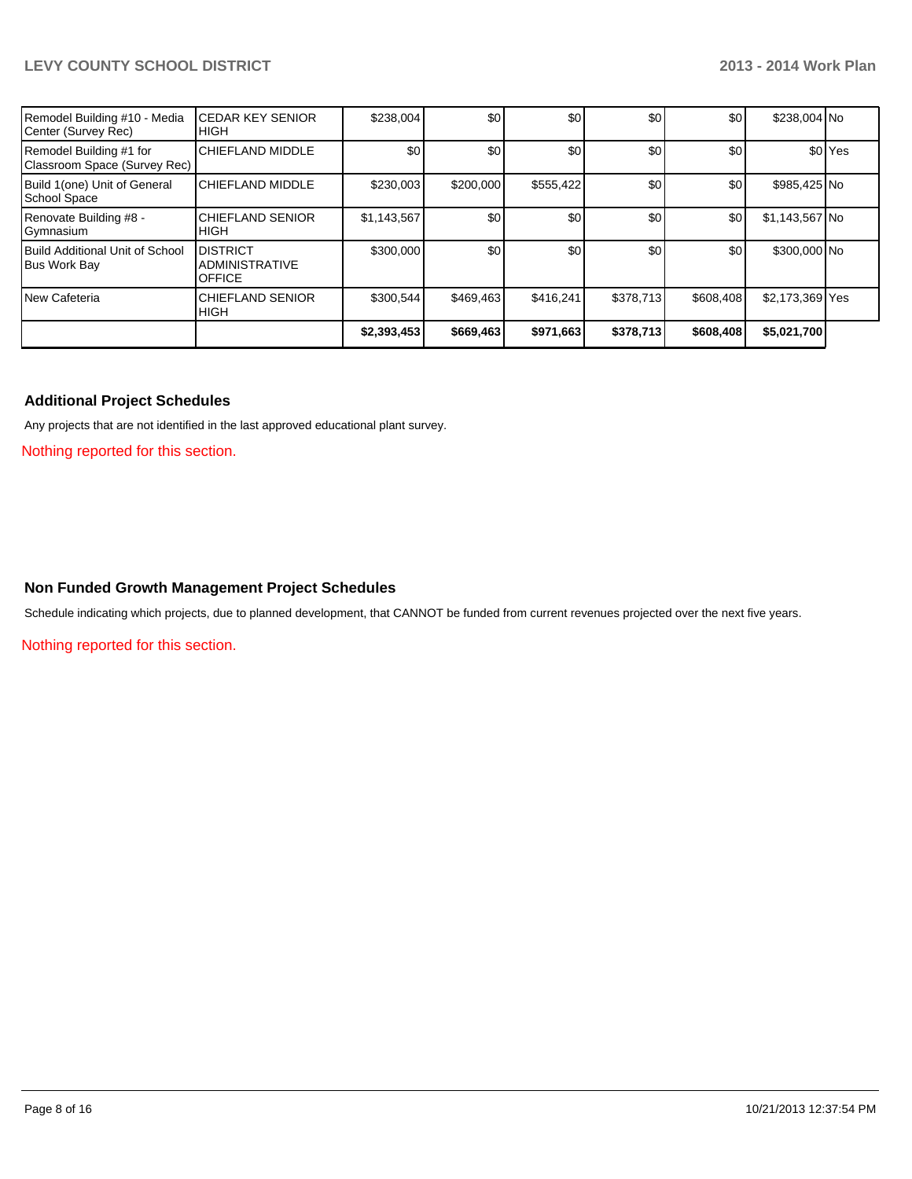#### **LEVY COUNTY SCHOOL DISTRICT 2013 - 2014 Work Plan**

| Remodel Building #10 - Media<br>Center (Survey Rec)     | <b>ICEDAR KEY SENIOR</b><br>IHIGH                         | \$238,004   | \$0       | \$0       | \$0       | \$0       | \$238,004 No    |                      |
|---------------------------------------------------------|-----------------------------------------------------------|-------------|-----------|-----------|-----------|-----------|-----------------|----------------------|
| Remodel Building #1 for<br>Classroom Space (Survey Rec) | <b>CHIEFLAND MIDDLE</b>                                   | \$0         | \$0       | \$0       | \$0       | \$0       |                 | \$0 <sup>l</sup> Yes |
| Build 1(one) Unit of General<br><b>School Space</b>     | <b>CHIEFLAND MIDDLE</b>                                   | \$230,003   | \$200,000 | \$555,422 | \$0       | \$0       | \$985,425 No    |                      |
| Renovate Building #8 -<br>Gymnasium                     | <b>ICHIEFLAND SENIOR</b><br>IHIGH                         | \$1,143,567 | \$0       | \$0       | \$0       | \$0       | \$1,143,567 No  |                      |
| <b>Build Additional Unit of School</b><br>Bus Work Bay  | <b>DISTRICT</b><br><b>ADMINISTRATIVE</b><br><b>OFFICE</b> | \$300,000   | \$0       | \$0       | \$0       | \$0       | \$300,000 No    |                      |
| New Cafeteria                                           | <b>I</b> CHIEFLAND SENIOR<br><b>I</b> HIGH                | \$300,544   | \$469,463 | \$416,241 | \$378,713 | \$608,408 | \$2,173,369 Yes |                      |
|                                                         |                                                           | \$2,393,453 | \$669,463 | \$971,663 | \$378,713 | \$608,408 | \$5,021,700     |                      |

#### **Additional Project Schedules**

Any projects that are not identified in the last approved educational plant survey.

Nothing reported for this section.

#### **Non Funded Growth Management Project Schedules**

Schedule indicating which projects, due to planned development, that CANNOT be funded from current revenues projected over the next five years.

Nothing reported for this section.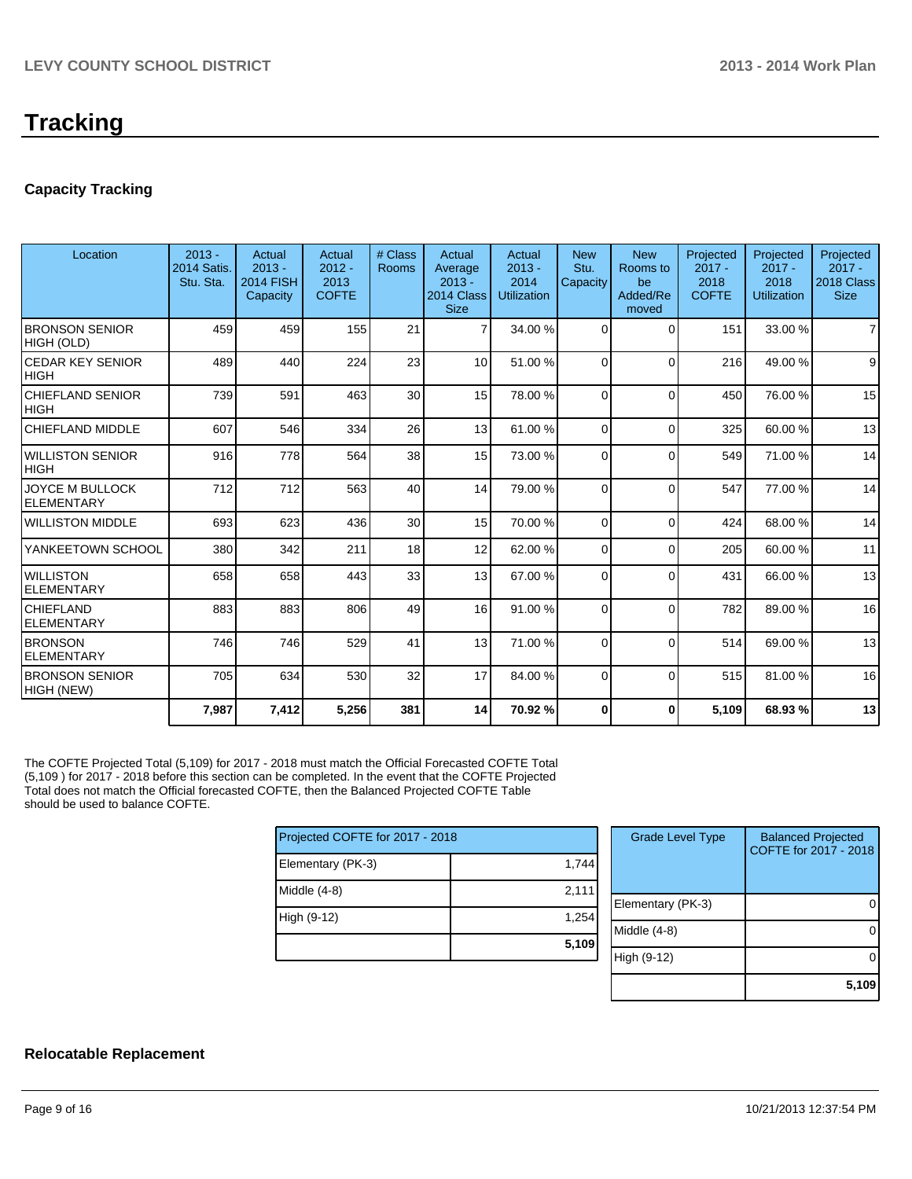#### **Capacity Tracking**

| Location                               | $2013 -$<br><b>2014 Satis.</b><br>Stu. Sta. | Actual<br>$2013 -$<br><b>2014 FISH</b><br>Capacity | Actual<br>$2012 -$<br>2013<br><b>COFTE</b> | # Class<br><b>Rooms</b> | Actual<br>Average<br>$2013 -$<br>2014 Class<br><b>Size</b> | Actual<br>$2013 -$<br>2014<br><b>Utilization</b> | <b>New</b><br>Stu.<br>Capacity | <b>New</b><br>Rooms to<br>be<br>Added/Re<br>moved | Projected<br>$2017 -$<br>2018<br><b>COFTE</b> | Projected<br>$2017 -$<br>2018<br><b>Utilization</b> | Projected<br>$2017 -$<br>2018 Class<br><b>Size</b> |
|----------------------------------------|---------------------------------------------|----------------------------------------------------|--------------------------------------------|-------------------------|------------------------------------------------------------|--------------------------------------------------|--------------------------------|---------------------------------------------------|-----------------------------------------------|-----------------------------------------------------|----------------------------------------------------|
| <b>BRONSON SENIOR</b><br>HIGH (OLD)    | 459                                         | 459                                                | 155                                        | 21                      |                                                            | 34.00 %                                          | $\Omega$                       | $\Omega$                                          | 151                                           | 33.00 %                                             | $\overline{7}$                                     |
| <b>CEDAR KEY SENIOR</b><br><b>HIGH</b> | 489                                         | 440                                                | 224                                        | 23                      | 10 <sup>1</sup>                                            | 51.00 %                                          | $\Omega$                       | $\Omega$                                          | 216                                           | 49.00 %                                             | 9                                                  |
| <b>CHIEFLAND SENIOR</b><br><b>HIGH</b> | 739                                         | 591                                                | 463                                        | 30                      | 15                                                         | 78.00 %                                          | $\Omega$                       | $\Omega$                                          | 450                                           | 76.00 %                                             | 15                                                 |
| CHIEFLAND MIDDLE                       | 607                                         | 546                                                | 334                                        | 26                      | 13                                                         | 61.00 %                                          | $\Omega$                       | $\Omega$                                          | 325                                           | 60.00 %                                             | 13                                                 |
| <b>WILLISTON SENIOR</b><br><b>HIGH</b> | 916                                         | 778                                                | 564                                        | 38                      | 15                                                         | 73.00 %                                          | $\Omega$                       | $\Omega$                                          | 549                                           | 71.00 %                                             | 14                                                 |
| JOYCE M BULLOCK<br><b>ELEMENTARY</b>   | 712                                         | 712                                                | 563                                        | 40                      | 14                                                         | 79.00 %                                          | $\Omega$                       | $\Omega$                                          | 547                                           | 77.00 %                                             | 14                                                 |
| <b>WILLISTON MIDDLE</b>                | 693                                         | 623                                                | 436                                        | 30                      | 15                                                         | 70.00 %                                          | $\Omega$                       | $\Omega$                                          | 424                                           | 68.00 %                                             | 14                                                 |
| YANKEETOWN SCHOOL                      | 380                                         | 342                                                | 211                                        | 18                      | 12                                                         | 62.00 %                                          | $\overline{0}$                 | $\Omega$                                          | 205                                           | 60.00 %                                             | 11                                                 |
| <b>WILLISTON</b><br><b>ELEMENTARY</b>  | 658                                         | 658                                                | 443                                        | 33                      | 13                                                         | 67.00 %                                          | 0                              | $\Omega$                                          | 431                                           | 66.00 %                                             | 13                                                 |
| <b>CHIEFLAND</b><br><b>ELEMENTARY</b>  | 883                                         | 883                                                | 806                                        | 49                      | 16 <sup>1</sup>                                            | 91.00 %                                          | $\Omega$                       | $\Omega$                                          | 782                                           | 89.00 %                                             | 16                                                 |
| <b>BRONSON</b><br><b>ELEMENTARY</b>    | 746                                         | 746                                                | 529                                        | 41                      | 13                                                         | 71.00 %                                          | $\Omega$                       | $\Omega$                                          | 514                                           | 69.00 %                                             | 13                                                 |
| <b>BRONSON SENIOR</b><br>HIGH (NEW)    | 705                                         | 634                                                | 530                                        | 32                      | 17                                                         | 84.00 %                                          | $\Omega$                       | $\Omega$                                          | 515                                           | 81.00%                                              | 16                                                 |
|                                        | 7,987                                       | 7,412                                              | 5,256                                      | 381                     | 14                                                         | 70.92 %                                          | 0                              | $\mathbf{0}$                                      | 5,109                                         | 68.93%                                              | 13                                                 |
|                                        |                                             |                                                    |                                            |                         |                                                            |                                                  |                                |                                                   |                                               |                                                     |                                                    |

The COFTE Projected Total (5,109) for 2017 - 2018 must match the Official Forecasted COFTE Total (5,109 ) for 2017 - 2018 before this section can be completed. In the event that the COFTE Projected Total does not match the Official forecasted COFTE, then the Balanced Projected COFTE Table should be used to balance COFTE.

| Projected COFTE for 2017 - 2018 |       |  |  |  |  |  |
|---------------------------------|-------|--|--|--|--|--|
| Elementary (PK-3)               | 1,744 |  |  |  |  |  |
| Middle (4-8)                    | 2,111 |  |  |  |  |  |
| High (9-12)                     | 1,254 |  |  |  |  |  |
|                                 | 5,109 |  |  |  |  |  |

| <b>Grade Level Type</b> | <b>Balanced Projected</b><br>COFTE for 2017 - 2018 |
|-------------------------|----------------------------------------------------|
| Elementary (PK-3)       |                                                    |
| Middle (4-8)            |                                                    |
| High (9-12)             |                                                    |
|                         | 5.109                                              |

#### **Relocatable Replacement**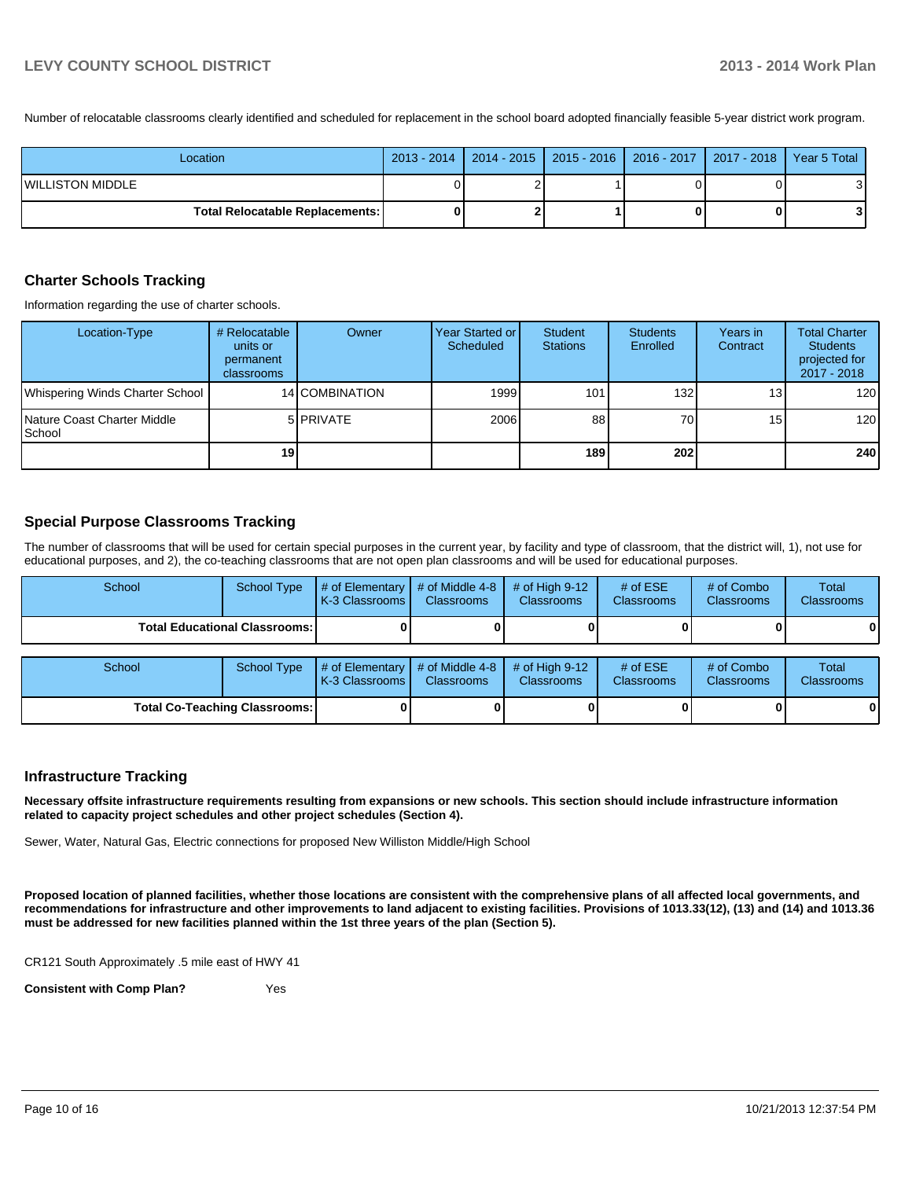Number of relocatable classrooms clearly identified and scheduled for replacement in the school board adopted financially feasible 5-year district work program.

| Location                                 |  |  | 2013 - 2014   2014 - 2015   2015 - 2016   2016 - 2017   2017 - 2018   Year 5 Total |
|------------------------------------------|--|--|------------------------------------------------------------------------------------|
| <b>WILLISTON MIDDLE</b>                  |  |  |                                                                                    |
| <b>Total Relocatable Replacements: I</b> |  |  |                                                                                    |

#### **Charter Schools Tracking**

Information regarding the use of charter schools.

| Location-Type                                 | # Relocatable<br>units or<br>permanent<br>classrooms | Owner          | Year Started or I<br>Scheduled | Student<br><b>Stations</b> | <b>Students</b><br>Enrolled | Years in<br>Contract | <b>Total Charter</b><br><b>Students</b><br>projected for<br>2017 - 2018 |
|-----------------------------------------------|------------------------------------------------------|----------------|--------------------------------|----------------------------|-----------------------------|----------------------|-------------------------------------------------------------------------|
| Whispering Winds Charter School               |                                                      | 14 COMBINATION | 1999                           | 101                        | 132                         | 13 <sub>1</sub>      | 120                                                                     |
| Nature Coast Charter Middle<br><b>S</b> chool |                                                      | 5 PRIVATE      | 2006                           | 88                         | 70                          | 15 <sub>l</sub>      | 120                                                                     |
|                                               | 19                                                   |                |                                | 189                        | <b>2021</b>                 |                      | 240                                                                     |

#### **Special Purpose Classrooms Tracking**

The number of classrooms that will be used for certain special purposes in the current year, by facility and type of classroom, that the district will, 1), not use for educational purposes, and 2), the co-teaching classrooms that are not open plan classrooms and will be used for educational purposes.

| School                                 | <b>School Type</b> | # of Elementary<br>K-3 Classrooms I | # of Middle 4-8<br><b>Classrooms</b> | # of High $9-12$<br><b>Classrooms</b> | # of $ESE$<br><b>Classrooms</b> | # of Combo<br>Classrooms | Total<br>Classrooms |
|----------------------------------------|--------------------|-------------------------------------|--------------------------------------|---------------------------------------|---------------------------------|--------------------------|---------------------|
| <b>Total Educational Classrooms: I</b> |                    |                                     |                                      |                                       |                                 |                          |                     |
| School                                 | <b>School Type</b> | # of Elementary<br>K-3 Classrooms I | # of Middle 4-8<br><b>Classrooms</b> | # of High $9-12$<br>Classrooms        | # of $ESE$<br><b>Classrooms</b> | # of Combo<br>Classrooms | Total<br>Classrooms |
| <b>Total Co-Teaching Classrooms:</b>   |                    |                                     |                                      |                                       |                                 |                          | 01                  |

#### **Infrastructure Tracking**

**Necessary offsite infrastructure requirements resulting from expansions or new schools. This section should include infrastructure information related to capacity project schedules and other project schedules (Section 4).**

Sewer, Water, Natural Gas, Electric connections for proposed New Williston Middle/High School

**Proposed location of planned facilities, whether those locations are consistent with the comprehensive plans of all affected local governments, and recommendations for infrastructure and other improvements to land adjacent to existing facilities. Provisions of 1013.33(12), (13) and (14) and 1013.36 must be addressed for new facilities planned within the 1st three years of the plan (Section 5).**

CR121 South Approximately .5 mile east of HWY 41

**Consistent with Comp Plan?** Yes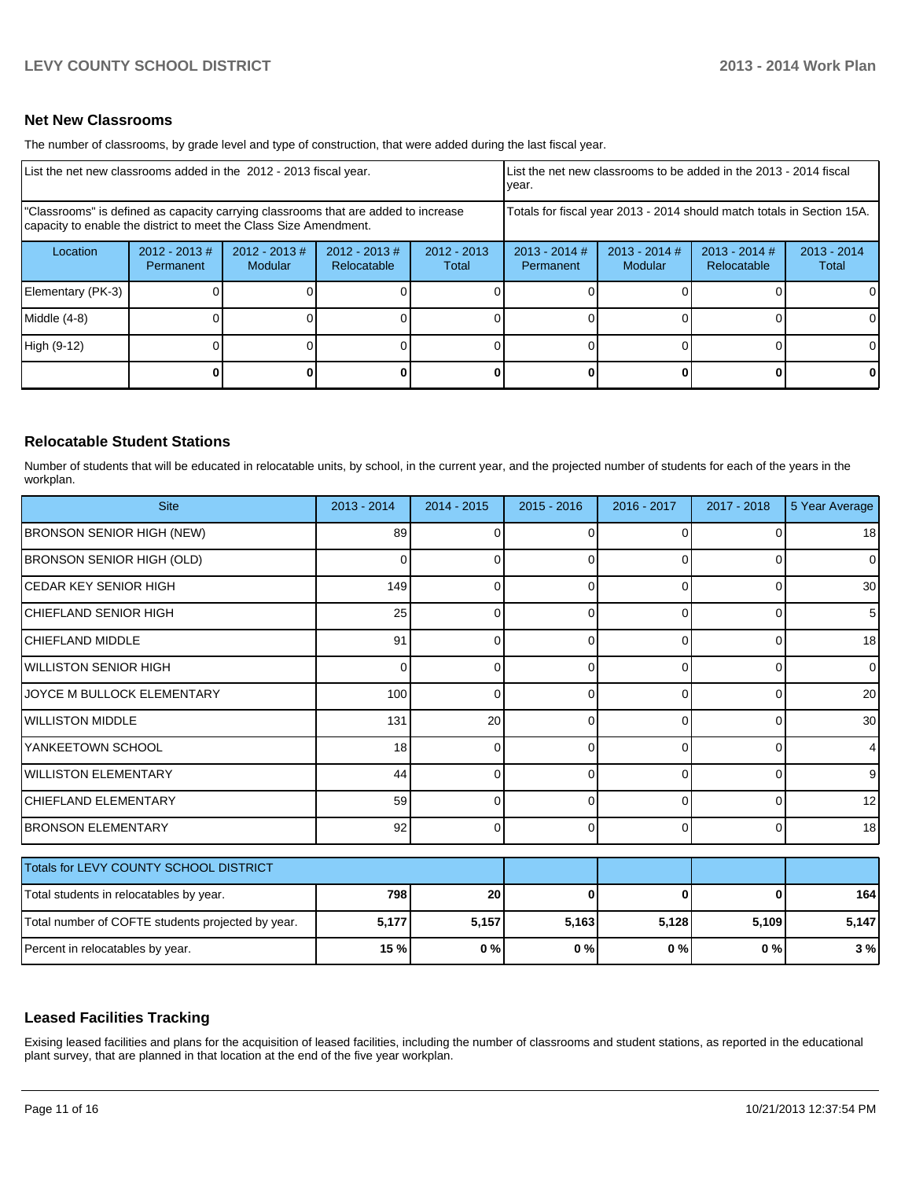#### **Net New Classrooms**

The number of classrooms, by grade level and type of construction, that were added during the last fiscal year.

| List the net new classrooms added in the 2012 - 2013 fiscal year.                                                                                       |                               |                            |                                |                        | List the net new classrooms to be added in the 2013 - 2014 fiscal<br>Ivear. |                            |                                |                        |  |
|---------------------------------------------------------------------------------------------------------------------------------------------------------|-------------------------------|----------------------------|--------------------------------|------------------------|-----------------------------------------------------------------------------|----------------------------|--------------------------------|------------------------|--|
| "Classrooms" is defined as capacity carrying classrooms that are added to increase<br>capacity to enable the district to meet the Class Size Amendment. |                               |                            |                                |                        | Totals for fiscal year 2013 - 2014 should match totals in Section 15A.      |                            |                                |                        |  |
| Location                                                                                                                                                | $2012 - 2013 \#$<br>Permanent | $2012 - 2013$ #<br>Modular | $2012 - 2013$ #<br>Relocatable | $2012 - 2013$<br>Total | $2013 - 2014$ #<br>Permanent                                                | $2013 - 2014$ #<br>Modular | $2013 - 2014$ #<br>Relocatable | $2013 - 2014$<br>Total |  |
| Elementary (PK-3)                                                                                                                                       |                               |                            |                                |                        |                                                                             |                            |                                | 0                      |  |
| Middle (4-8)                                                                                                                                            |                               |                            |                                |                        |                                                                             |                            |                                | 0                      |  |
| High (9-12)                                                                                                                                             |                               |                            |                                |                        |                                                                             |                            |                                | $\Omega$               |  |
|                                                                                                                                                         |                               |                            |                                |                        |                                                                             |                            |                                | 0                      |  |

#### **Relocatable Student Stations**

Number of students that will be educated in relocatable units, by school, in the current year, and the projected number of students for each of the years in the workplan.

| <b>Site</b>                                       | 2013 - 2014 | 2014 - 2015 | $2015 - 2016$ | 2016 - 2017 | 2017 - 2018 | 5 Year Average  |
|---------------------------------------------------|-------------|-------------|---------------|-------------|-------------|-----------------|
| BRONSON SENIOR HIGH (NEW)                         | 89          |             | 0             |             |             | 18 <sup>l</sup> |
| BRONSON SENIOR HIGH (OLD)                         | 0           | 0           | 0             | 0           | $\Omega$    | 0               |
| <b>CEDAR KEY SENIOR HIGH</b>                      | 149         | 0           | 0             | C           | 0           | 30              |
| İCHIEFLAND SENIOR HIGH                            | 25          | 0           | 0             | 0           | 0           | 5               |
| CHIEFLAND MIDDLE                                  | 91          | 0           | 0             | $\Omega$    | $\Omega$    | 18              |
| <b>IWILLISTON SENIOR HIGH</b>                     | 0           | O           | 0             |             | $\Omega$    | 0               |
| JOYCE M BULLOCK ELEMENTARY                        | 100         | 0           | 0             | ſ           | 0           | 20              |
| WILLISTON MIDDLE                                  | 131         | 20          | 0             | 0           | $\Omega$    | 30              |
| YANKEETOWN SCHOOL                                 | 18          | 0           | 0             | 0           | $\Omega$    |                 |
| <b>WILLISTON ELEMENTARY</b>                       | 44          | 0           | 0             | ∩           | $\Omega$    | 9               |
| <b>CHIEFLAND ELEMENTARY</b>                       | 59          | O           | 0             | ∩           | $\Omega$    | 12              |
| <b>BRONSON ELEMENTARY</b>                         | 92          | 0           | 0             | $\Omega$    | $\Omega$    | 18              |
| Totals for LEVY COUNTY SCHOOL DISTRICT            |             |             |               |             |             |                 |
| Total students in relocatables by year.           | 798         | 20          | 0             | 0           | $\bf{0}$    | 164             |
| Total number of COFTE students projected by year. | 5,177       | 5,157       | 5,163         | 5,128       | 5,109       | 5,147           |
| Percent in relocatables by year.                  | 15 %        | 0%          | 0%            | 0%          | $0\%$       | 3%              |

#### **Leased Facilities Tracking**

Exising leased facilities and plans for the acquisition of leased facilities, including the number of classrooms and student stations, as reported in the educational plant survey, that are planned in that location at the end of the five year workplan.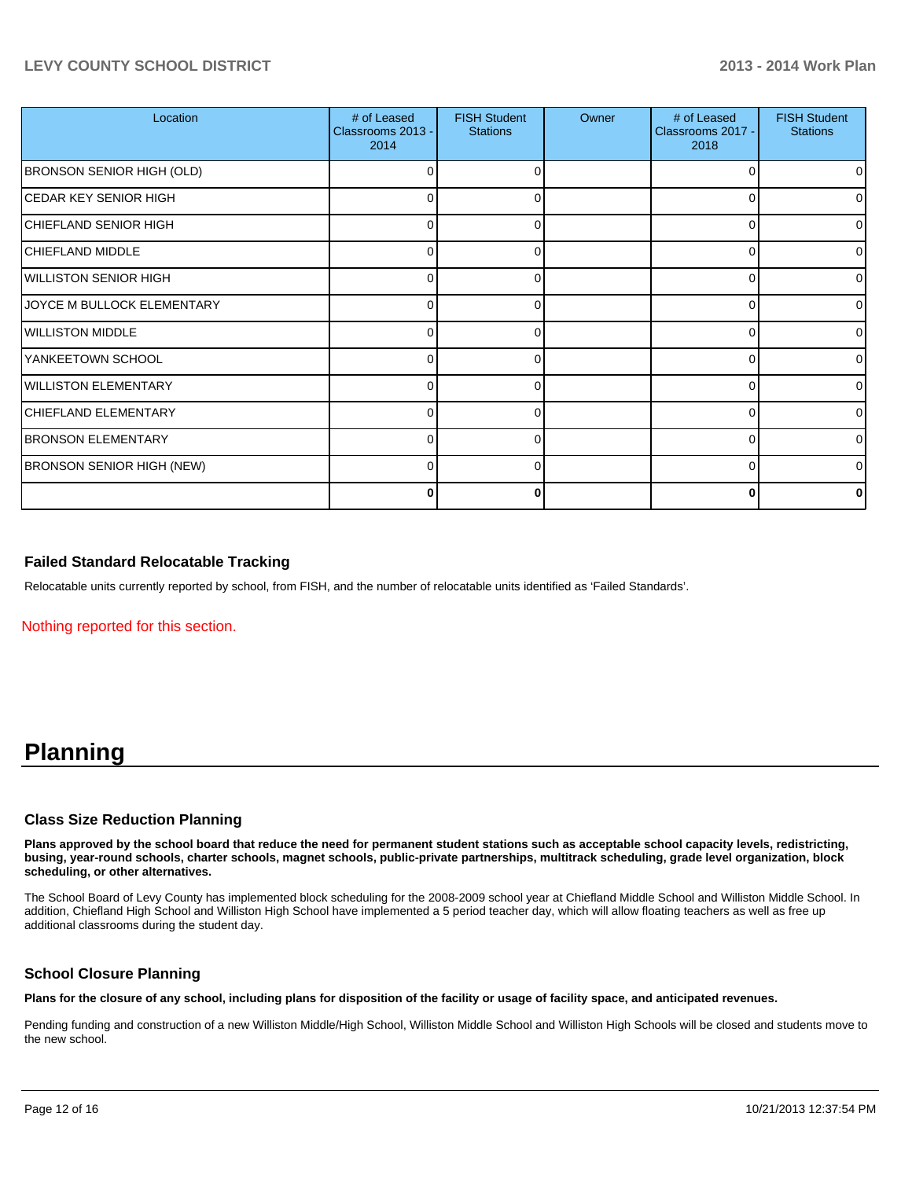#### **LEVY COUNTY SCHOOL DISTRICT 2013 - 2014 Work Plan**

| Location                         | # of Leased<br>Classrooms 2013 -<br>2014 | <b>FISH Student</b><br><b>Stations</b> | Owner | # of Leased<br>Classrooms 2017 -<br>2018 | <b>FISH Student</b><br><b>Stations</b> |
|----------------------------------|------------------------------------------|----------------------------------------|-------|------------------------------------------|----------------------------------------|
| <b>BRONSON SENIOR HIGH (OLD)</b> | 0                                        |                                        |       | 0                                        | 01                                     |
| <b>CEDAR KEY SENIOR HIGH</b>     | $\Omega$                                 |                                        |       | ŋ                                        | οI                                     |
| CHIEFLAND SENIOR HIGH            | 0                                        | 0                                      |       | 0                                        | $\overline{0}$                         |
| CHIEFLAND MIDDLE                 | $\Omega$                                 | U                                      |       | $\Omega$                                 | $\overline{0}$                         |
| WILLISTON SENIOR HIGH            | 0                                        |                                        |       | 0                                        | $\overline{0}$                         |
| JOYCE M BULLOCK ELEMENTARY       | 0                                        |                                        |       | 0                                        | $\overline{0}$                         |
| <b>WILLISTON MIDDLE</b>          | 0                                        |                                        |       | 0                                        | $\overline{0}$                         |
| YANKEETOWN SCHOOL                | 0                                        | O                                      |       | ∩                                        | $\overline{0}$                         |
| <b>WILLISTON ELEMENTARY</b>      | 0                                        |                                        |       | C                                        | 01                                     |
| CHIEFLAND ELEMENTARY             | 0                                        |                                        |       | 0                                        | 01                                     |
| <b>BRONSON ELEMENTARY</b>        | 0                                        |                                        |       | C                                        | 0                                      |
| <b>BRONSON SENIOR HIGH (NEW)</b> | 0                                        | O                                      |       | $\Omega$                                 | 0                                      |
|                                  | 0                                        |                                        |       | O                                        |                                        |

#### **Failed Standard Relocatable Tracking**

Relocatable units currently reported by school, from FISH, and the number of relocatable units identified as 'Failed Standards'.

Nothing reported for this section.

## **Planning**

#### **Class Size Reduction Planning**

**Plans approved by the school board that reduce the need for permanent student stations such as acceptable school capacity levels, redistricting, busing, year-round schools, charter schools, magnet schools, public-private partnerships, multitrack scheduling, grade level organization, block scheduling, or other alternatives.**

The School Board of Levy County has implemented block scheduling for the 2008-2009 school year at Chiefland Middle School and Williston Middle School. In addition, Chiefland High School and Williston High School have implemented a 5 period teacher day, which will allow floating teachers as well as free up additional classrooms during the student day.

#### **School Closure Planning**

**Plans for the closure of any school, including plans for disposition of the facility or usage of facility space, and anticipated revenues.**

Pending funding and construction of a new Williston Middle/High School, Williston Middle School and Williston High Schools will be closed and students move to the new school.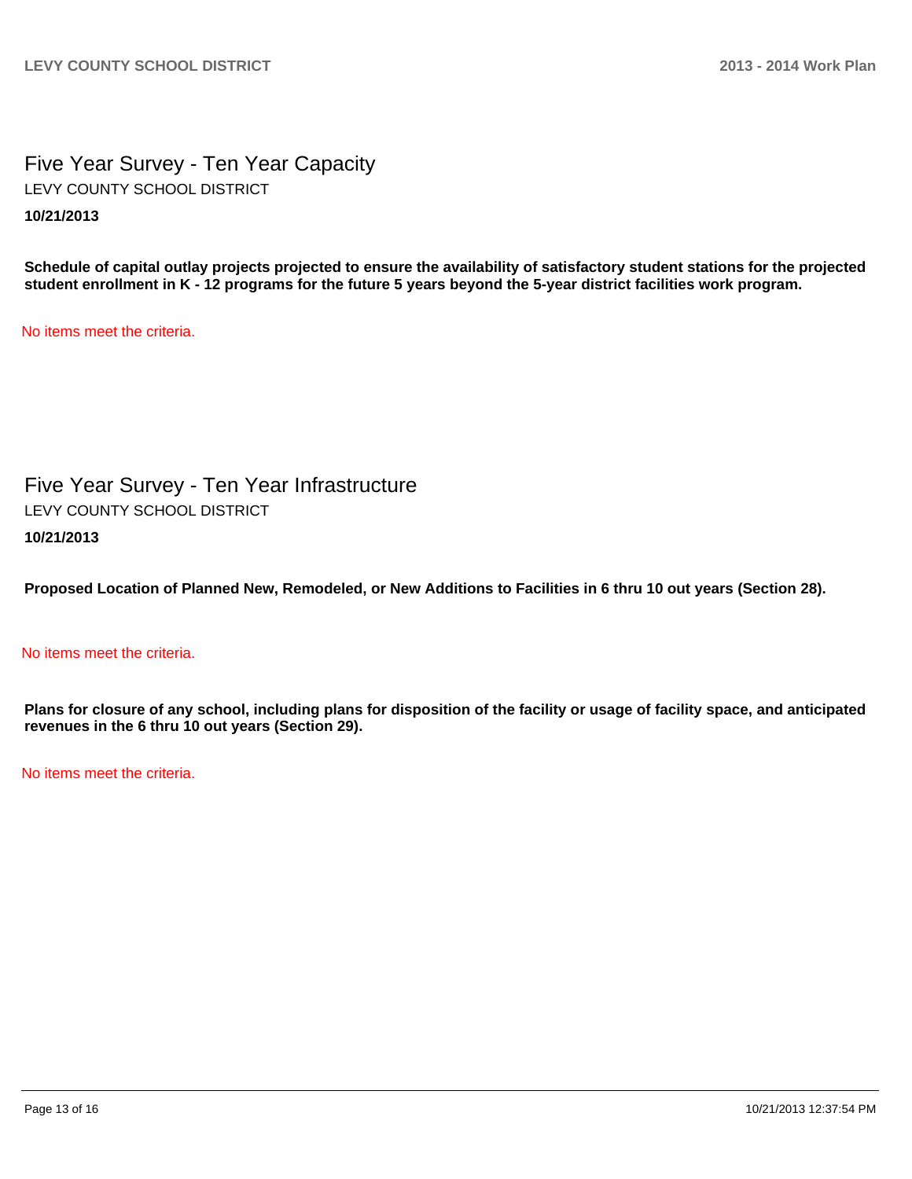Five Year Survey - Ten Year Capacity **10/21/2013** LEVY COUNTY SCHOOL DISTRICT

**Schedule of capital outlay projects projected to ensure the availability of satisfactory student stations for the projected student enrollment in K - 12 programs for the future 5 years beyond the 5-year district facilities work program.**

No items meet the criteria.

Five Year Survey - Ten Year Infrastructure **10/21/2013** LEVY COUNTY SCHOOL DISTRICT

**Proposed Location of Planned New, Remodeled, or New Additions to Facilities in 6 thru 10 out years (Section 28).**

#### No items meet the criteria.

**Plans for closure of any school, including plans for disposition of the facility or usage of facility space, and anticipated revenues in the 6 thru 10 out years (Section 29).**

No items meet the criteria.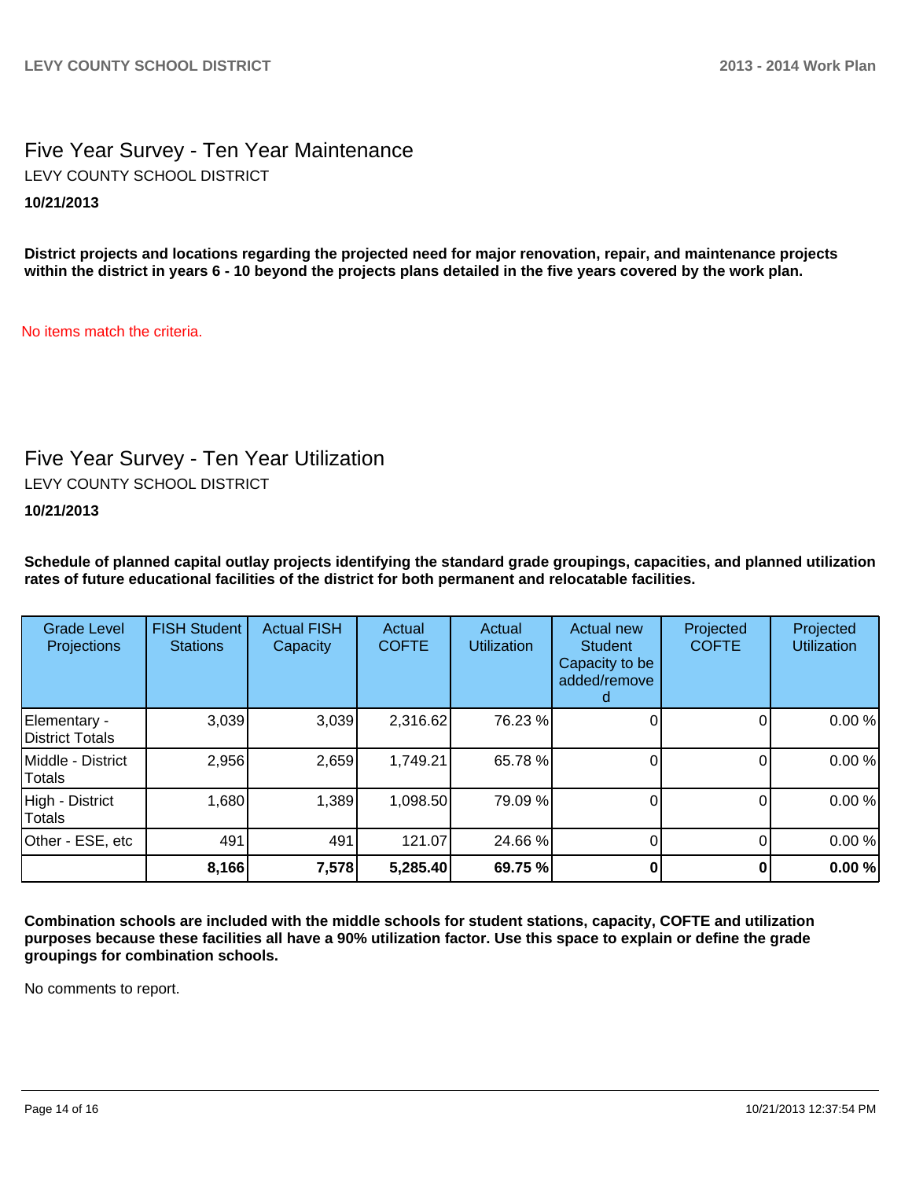### Five Year Survey - Ten Year Maintenance **10/21/2013** LEVY COUNTY SCHOOL DISTRICT

**District projects and locations regarding the projected need for major renovation, repair, and maintenance projects within the district in years 6 - 10 beyond the projects plans detailed in the five years covered by the work plan.**

No items match the criteria.

# Five Year Survey - Ten Year Utilization

LEVY COUNTY SCHOOL DISTRICT

**10/21/2013**

**Schedule of planned capital outlay projects identifying the standard grade groupings, capacities, and planned utilization rates of future educational facilities of the district for both permanent and relocatable facilities.**

| <b>Grade Level</b><br>Projections | <b>FISH Student</b><br><b>Stations</b> | <b>Actual FISH</b><br>Capacity | Actual<br><b>COFTE</b> | Actual<br><b>Utilization</b> | Actual new<br><b>Student</b><br>Capacity to be<br>added/remove | Projected<br><b>COFTE</b> | Projected<br><b>Utilization</b> |
|-----------------------------------|----------------------------------------|--------------------------------|------------------------|------------------------------|----------------------------------------------------------------|---------------------------|---------------------------------|
| Elementary -<br>District Totals   | 3,039                                  | 3,039                          | 2,316.62               | 76.23 %                      |                                                                |                           | 0.00%                           |
| Middle - District<br>Totals       | 2,956                                  | 2,659                          | 1,749.21               | 65.78 %                      |                                                                |                           | 0.00%                           |
| High - District<br>Totals         | 1,680                                  | 1,389                          | 1,098.50               | 79.09 %                      |                                                                |                           | 0.00%                           |
| Other - ESE, etc                  | 491                                    | 491                            | 121.07                 | 24.66 %                      |                                                                |                           | 0.00%                           |
|                                   | 8,166                                  | 7,578                          | 5,285.40               | 69.75 %                      |                                                                |                           | 0.00%                           |

**Combination schools are included with the middle schools for student stations, capacity, COFTE and utilization purposes because these facilities all have a 90% utilization factor. Use this space to explain or define the grade groupings for combination schools.**

No comments to report.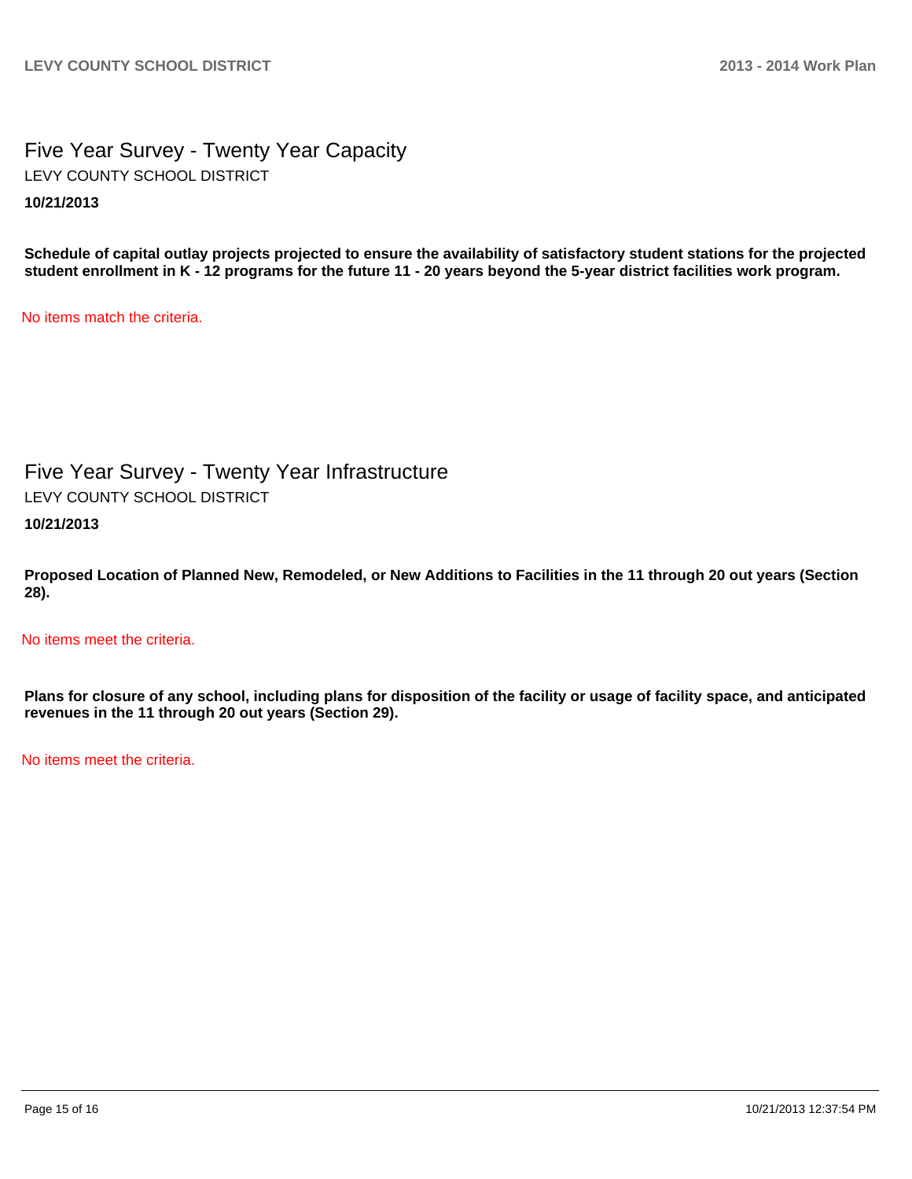### Five Year Survey - Twenty Year Capacity **10/21/2013** LEVY COUNTY SCHOOL DISTRICT

**Schedule of capital outlay projects projected to ensure the availability of satisfactory student stations for the projected student enrollment in K - 12 programs for the future 11 - 20 years beyond the 5-year district facilities work program.**

No items match the criteria.

### Five Year Survey - Twenty Year Infrastructure LEVY COUNTY SCHOOL DISTRICT

**10/21/2013**

**Proposed Location of Planned New, Remodeled, or New Additions to Facilities in the 11 through 20 out years (Section 28).**

No items meet the criteria.

**Plans for closure of any school, including plans for disposition of the facility or usage of facility space, and anticipated revenues in the 11 through 20 out years (Section 29).**

No items meet the criteria.